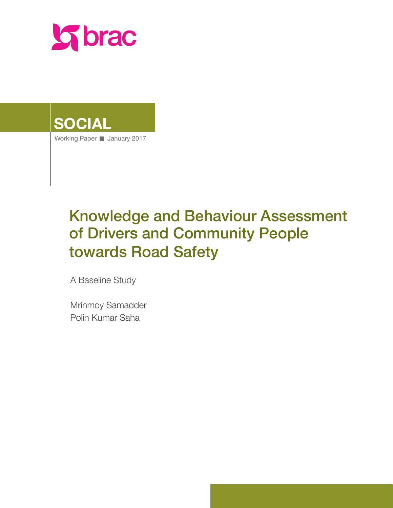

# **SOCIAL**

Working Paper January 2017

# Knowledge and Behaviour Assessment of Drivers and Community People towards Road Safety

A Baseline Study

Mrinmoy Samadder Polin Kumar Saha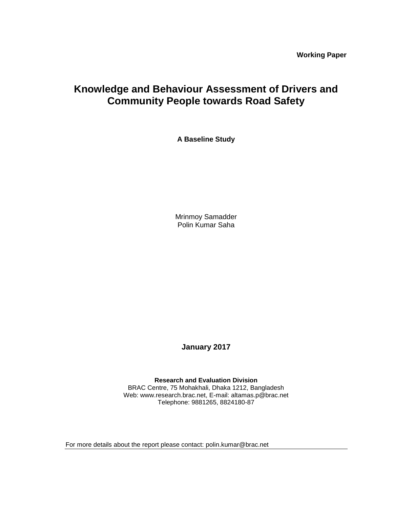**Working Paper**

# **Knowledge and Behaviour Assessment of Drivers and Community People towards Road Safety**

**A Baseline Study**

Mrinmoy Samadder Polin Kumar Saha

**January 2017**

**Research and Evaluation Division** BRAC Centre, 75 Mohakhali, Dhaka 1212, Bangladesh Web: www.research.brac.net, E-mail: altamas.p@brac.net Telephone: 9881265, 8824180-87

For more details about the report please contact: polin.kumar@brac.net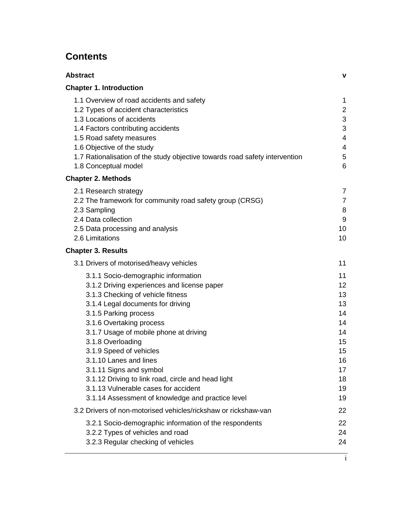# **Contents**

| <b>Abstract</b>                                                                                                                                                                                                                                                                                                                                                                                                                                                                                                     | v                                                                                |
|---------------------------------------------------------------------------------------------------------------------------------------------------------------------------------------------------------------------------------------------------------------------------------------------------------------------------------------------------------------------------------------------------------------------------------------------------------------------------------------------------------------------|----------------------------------------------------------------------------------|
| <b>Chapter 1. Introduction</b>                                                                                                                                                                                                                                                                                                                                                                                                                                                                                      |                                                                                  |
| 1.1 Overview of road accidents and safety<br>1.2 Types of accident characteristics<br>1.3 Locations of accidents<br>1.4 Factors contributing accidents<br>1.5 Road safety measures<br>1.6 Objective of the study<br>1.7 Rationalisation of the study objective towards road safety intervention<br>1.8 Conceptual model                                                                                                                                                                                             | 1<br>$\overline{2}$<br>3<br>3<br>4<br>$\overline{4}$<br>5<br>6                   |
| <b>Chapter 2. Methods</b>                                                                                                                                                                                                                                                                                                                                                                                                                                                                                           |                                                                                  |
| 2.1 Research strategy<br>2.2 The framework for community road safety group (CRSG)<br>2.3 Sampling<br>2.4 Data collection<br>2.5 Data processing and analysis<br>2.6 Limitations                                                                                                                                                                                                                                                                                                                                     | 7<br>$\overline{7}$<br>8<br>9<br>10<br>10                                        |
| <b>Chapter 3. Results</b>                                                                                                                                                                                                                                                                                                                                                                                                                                                                                           |                                                                                  |
| 3.1 Drivers of motorised/heavy vehicles                                                                                                                                                                                                                                                                                                                                                                                                                                                                             | 11                                                                               |
| 3.1.1 Socio-demographic information<br>3.1.2 Driving experiences and license paper<br>3.1.3 Checking of vehicle fitness<br>3.1.4 Legal documents for driving<br>3.1.5 Parking process<br>3.1.6 Overtaking process<br>3.1.7 Usage of mobile phone at driving<br>3.1.8 Overloading<br>3.1.9 Speed of vehicles<br>3.1.10 Lanes and lines<br>3.1.11 Signs and symbol<br>3.1.12 Driving to link road, circle and head light<br>3.1.13 Vulnerable cases for accident<br>3.1.14 Assessment of knowledge and practice level | 11<br>12<br>13<br>13<br>14<br>14<br>14<br>15<br>15<br>16<br>17<br>18<br>19<br>19 |
| 3.2 Drivers of non-motorised vehicles/rickshaw or rickshaw-van                                                                                                                                                                                                                                                                                                                                                                                                                                                      | 22                                                                               |
| 3.2.1 Socio-demographic information of the respondents<br>3.2.2 Types of vehicles and road<br>3.2.3 Regular checking of vehicles                                                                                                                                                                                                                                                                                                                                                                                    | 22<br>24<br>24                                                                   |

i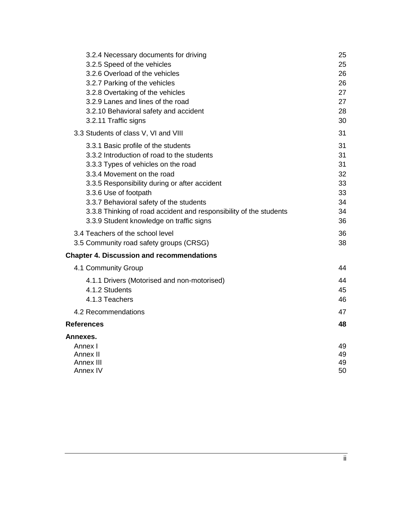| 3.2.4 Necessary documents for driving                                                                          | 25       |
|----------------------------------------------------------------------------------------------------------------|----------|
| 3.2.5 Speed of the vehicles                                                                                    | 25       |
| 3.2.6 Overload of the vehicles                                                                                 | 26       |
| 3.2.7 Parking of the vehicles                                                                                  | 26       |
| 3.2.8 Overtaking of the vehicles                                                                               | 27       |
| 3.2.9 Lanes and lines of the road                                                                              | 27       |
| 3.2.10 Behavioral safety and accident                                                                          | 28       |
| 3.2.11 Traffic signs                                                                                           | 30       |
| 3.3 Students of class V, VI and VIII                                                                           | 31       |
| 3.3.1 Basic profile of the students                                                                            | 31       |
| 3.3.2 Introduction of road to the students                                                                     | 31       |
| 3.3.3 Types of vehicles on the road                                                                            | 31       |
| 3.3.4 Movement on the road                                                                                     | 32       |
| 3.3.5 Responsibility during or after accident                                                                  | 33       |
| 3.3.6 Use of footpath                                                                                          | 33       |
| 3.3.7 Behavioral safety of the students                                                                        | 34<br>34 |
| 3.3.8 Thinking of road accident and responsibility of the students<br>3.3.9 Student knowledge on traffic signs | 36       |
|                                                                                                                |          |
| 3.4 Teachers of the school level                                                                               | 36       |
| 3.5 Community road safety groups (CRSG)                                                                        | 38       |
| <b>Chapter 4. Discussion and recommendations</b>                                                               |          |
| 4.1 Community Group                                                                                            | 44       |
| 4.1.1 Drivers (Motorised and non-motorised)                                                                    | 44       |
| 4.1.2 Students                                                                                                 | 45       |
| 4.1.3 Teachers                                                                                                 | 46       |
| 4.2 Recommendations                                                                                            | 47       |
| <b>References</b>                                                                                              | 48       |
| Annexes.                                                                                                       |          |
| Annex I                                                                                                        | 49       |
| Annex II                                                                                                       | 49       |
| Annex III                                                                                                      | 49       |
| Annex IV                                                                                                       | 50       |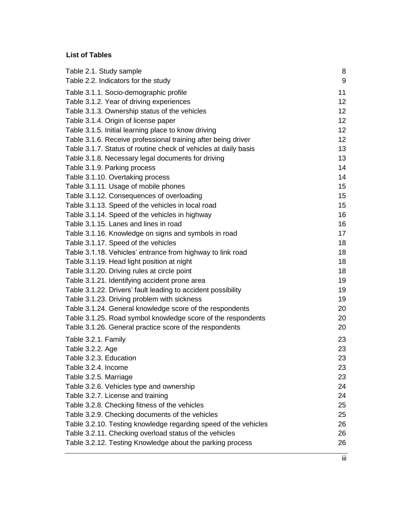# **List of Tables**

| Table 2.1. Study sample                                         | 8                |
|-----------------------------------------------------------------|------------------|
| Table 2.2. Indicators for the study                             | $\boldsymbol{9}$ |
| Table 3.1.1. Socio-demographic profile                          | 11               |
| Table 3.1.2. Year of driving experiences                        | 12 <sub>2</sub>  |
| Table 3.1.3. Ownership status of the vehicles                   | 12 <sub>2</sub>  |
| Table 3.1.4. Origin of license paper                            | 12 <sub>2</sub>  |
| Table 3.1.5. Initial learning place to know driving             | 12 <sub>2</sub>  |
| Table 3.1.6. Receive professional training after being driver   | 12 <sub>2</sub>  |
| Table 3.1.7. Status of routine check of vehicles at daily basis | 13               |
| Table 3.1.8. Necessary legal documents for driving              | 13               |
| Table 3.1.9. Parking process                                    | 14               |
| Table 3.1.10. Overtaking process                                | 14               |
| Table 3.1.11. Usage of mobile phones                            | 15 <sub>2</sub>  |
| Table 3.1.12. Consequences of overloading                       | 15               |
| Table 3.1.13. Speed of the vehicles in local road               | 15               |
| Table 3.1.14. Speed of the vehicles in highway                  | 16               |
| Table 3.1.15. Lanes and lines in road                           | 16               |
| Table 3.1.16. Knowledge on signs and symbols in road            | 17               |
| Table 3.1.17. Speed of the vehicles                             | 18               |
| Table 3.1.18. Vehicles' entrance from highway to link road      | 18               |
| Table 3.1.19. Head light position at night                      | 18               |
| Table 3.1.20. Driving rules at circle point                     | 18               |
| Table 3.1.21. Identifying accident prone area                   | 19               |
| Table 3.1.22. Drivers' fault leading to accident possibility    | 19               |
| Table 3.1.23. Driving problem with sickness                     | 19               |
| Table 3.1.24. General knowledge score of the respondents        | 20               |
| Table 3.1.25. Road symbol knowledge score of the respondents    | 20               |
| Table 3.1.26. General practice score of the respondents         | 20               |
| Table 3.2.1. Family                                             | 23               |
| Table 3.2.2. Age                                                | 23               |
| Table 3.2.3. Education                                          | 23               |
| Table 3.2.4. Income                                             | 23               |
| Table 3.2.5. Marriage                                           | 23               |
| Table 3.2.6. Vehicles type and ownership                        | 24               |
| Table 3.2.7. License and training                               | 24               |
| Table 3.2.8. Checking fitness of the vehicles                   | 25               |
| Table 3.2.9. Checking documents of the vehicles                 | 25               |
| Table 3.2.10. Testing knowledge regarding speed of the vehicles | 26               |
| Table 3.2.11. Checking overload status of the vehicles          | 26               |
| Table 3.2.12. Testing Knowledge about the parking process       | 26               |
|                                                                 |                  |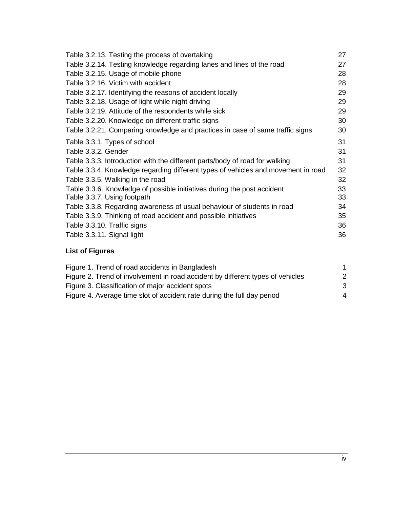| Table 3.2.13. Testing the process of overtaking                                   | 27 |
|-----------------------------------------------------------------------------------|----|
| Table 3.2.14. Testing knowledge regarding lanes and lines of the road             | 27 |
| Table 3.2.15. Usage of mobile phone                                               | 28 |
| Table 3.2.16. Victim with accident                                                | 28 |
| Table 3.2.17. Identifying the reasons of accident locally                         | 29 |
| Table 3.2.18. Usage of light while night driving                                  | 29 |
| Table 3.2.19. Attitude of the respondents while sick                              | 29 |
| Table 3.2.20. Knowledge on different traffic signs                                | 30 |
| Table 3.2.21. Comparing knowledge and practices in case of same traffic signs     | 30 |
| Table 3.3.1. Types of school                                                      | 31 |
| Table 3.3.2. Gender                                                               | 31 |
| Table 3.3.3. Introduction with the different parts/body of road for walking       | 31 |
| Table 3.3.4. Knowledge regarding different types of vehicles and movement in road | 32 |
| Table 3.3.5. Walking in the road                                                  | 32 |
| Table 3.3.6. Knowledge of possible initiatives during the post accident           | 33 |
| Table 3.3.7. Using footpath                                                       | 33 |
| Table 3.3.8. Regarding awareness of usual behaviour of students in road           | 34 |
| Table 3.3.9. Thinking of road accident and possible initiatives                   | 35 |
| Table 3.3.10. Traffic signs                                                       | 36 |
| Table 3.3.11. Signal light                                                        | 36 |

# **List of Figures**

| Figure 1. Trend of road accidents in Bangladesh                                |           |
|--------------------------------------------------------------------------------|-----------|
| Figure 2. Trend of involvement in road accident by different types of vehicles | 2         |
| Figure 3. Classification of major accident spots                               | -3        |
| Figure 4. Average time slot of accident rate during the full day period        | $\Lambda$ |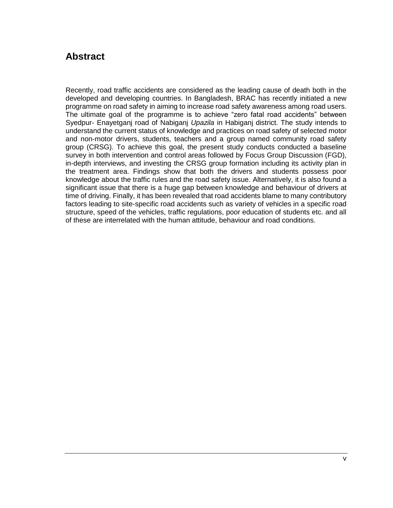# **Abstract**

Recently, road traffic accidents are considered as the leading cause of death both in the developed and developing countries. In Bangladesh, BRAC has recently initiated a new programme on road safety in aiming to increase road safety awareness among road users. The ultimate goal of the programme is to achieve "zero fatal road accidents" between Syedpur- Enayetganj road of Nabiganj *Upazila* in Habiganj district. The study intends to understand the current status of knowledge and practices on road safety of selected motor and non-motor drivers, students, teachers and a group named community road safety group (CRSG). To achieve this goal, the present study conducts conducted a baseline survey in both intervention and control areas followed by Focus Group Discussion (FGD), in-depth interviews, and investing the CRSG group formation including its activity plan in the treatment area. Findings show that both the drivers and students possess poor knowledge about the traffic rules and the road safety issue. Alternatively, it is also found a significant issue that there is a huge gap between knowledge and behaviour of drivers at time of driving. Finally, it has been revealed that road accidents blame to many contributory factors leading to site-specific road accidents such as variety of vehicles in a specific road structure, speed of the vehicles, traffic regulations, poor education of students etc. and all of these are interrelated with the human attitude, behaviour and road conditions.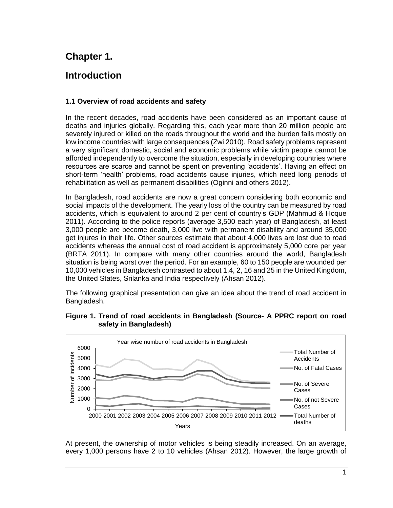# **Chapter 1.**

# **Introduction**

### **1.1 Overview of road accidents and safety**

In the recent decades, road accidents have been considered as an important cause of deaths and injuries globally. Regarding this, each year more than 20 million people are severely injured or killed on the roads throughout the world and the burden falls mostly on low income countries with large consequences (Zwi 2010). Road safety problems represent a very significant domestic, social and economic problems while victim people cannot be afforded independently to overcome the situation, especially in developing countries where resources are scarce and cannot be spent on preventing 'accidents'. Having an effect on short-term 'health' problems, road accidents cause injuries, which need long periods of rehabilitation as well as permanent disabilities (Oginni and others 2012).

In Bangladesh, road accidents are now a great concern considering both economic and social impacts of the development. The yearly loss of the country can be measured by road accidents, which is equivalent to around 2 per cent of country's GDP (Mahmud & Hoque 2011). According to the police reports (average 3,500 each year) of Bangladesh, at least 3,000 people are become death, 3,000 live with permanent disability and around 35,000 get injures in their life. Other sources estimate that about 4,000 lives are lost due to road accidents whereas the annual cost of road accident is approximately 5,000 core per year (BRTA 2011). In compare with many other countries around the world, Bangladesh situation is being worst over the period. For an example, 60 to 150 people are wounded per 10,000 vehicles in Bangladesh contrasted to about 1.4, 2, 16 and 25 in the United Kingdom, the United States, Srilanka and India respectively (Ahsan 2012).

The following graphical presentation can give an idea about the trend of road accident in Bangladesh.



#### **Figure 1. Trend of road accidents in Bangladesh (Source- A PPRC report on road safety in Bangladesh)**

At present, the ownership of motor vehicles is being steadily increased. On an average, every 1,000 persons have 2 to 10 vehicles (Ahsan 2012). However, the large growth of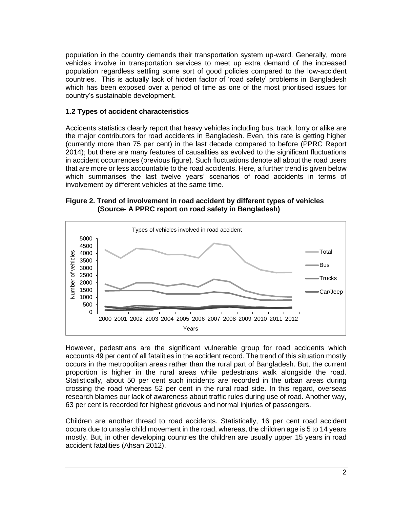population in the country demands their transportation system up-ward. Generally, more vehicles involve in transportation services to meet up extra demand of the increased population regardless settling some sort of good policies compared to the low-accident countries. This is actually lack of hidden factor of 'road safety' problems in Bangladesh which has been exposed over a period of time as one of the most prioritised issues for country's sustainable development.

### **1.2 Types of accident characteristics**

Accidents statistics clearly report that heavy vehicles including bus, track, lorry or alike are the major contributors for road accidents in Bangladesh. Even, this rate is getting higher (currently more than 75 per cent) in the last decade compared to before (PPRC Report 2014); but there are many features of causalities as evolved to the significant fluctuations in accident occurrences (previous figure). Such fluctuations denote all about the road users that are more or less accountable to the road accidents. Here, a further trend is given below which summarises the last twelve years' scenarios of road accidents in terms of involvement by different vehicles at the same time.

#### **Figure 2. Trend of involvement in road accident by different types of vehicles (Source- A PPRC report on road safety in Bangladesh)**



However, pedestrians are the significant vulnerable group for road accidents which accounts 49 per cent of all fatalities in the accident record. The trend of this situation mostly occurs in the metropolitan areas rather than the rural part of Bangladesh. But, the current proportion is higher in the rural areas while pedestrians walk alongside the road. Statistically, about 50 per cent such incidents are recorded in the urban areas during crossing the road whereas 52 per cent in the rural road side. In this regard, overseas research blames our lack of awareness about traffic rules during use of road. Another way, 63 per cent is recorded for highest grievous and normal injuries of passengers.

Children are another thread to road accidents. Statistically, 16 per cent road accident occurs due to unsafe child movement in the road, whereas, the children age is 5 to 14 years mostly. But, in other developing countries the children are usually upper 15 years in road accident fatalities (Ahsan 2012).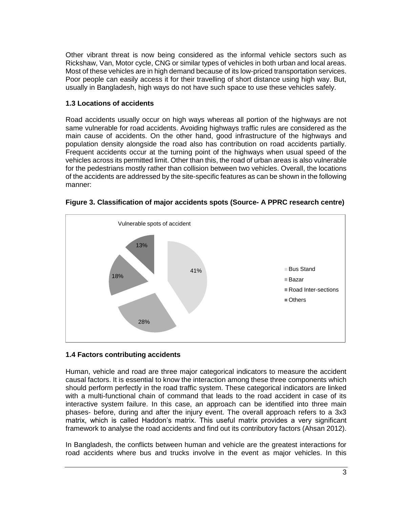Other vibrant threat is now being considered as the informal vehicle sectors such as Rickshaw, Van, Motor cycle, CNG or similar types of vehicles in both urban and local areas. Most of these vehicles are in high demand because of its low-priced transportation services. Poor people can easily access it for their travelling of short distance using high way. But, usually in Bangladesh, high ways do not have such space to use these vehicles safely.

### **1.3 Locations of accidents**

Road accidents usually occur on high ways whereas all portion of the highways are not same vulnerable for road accidents. Avoiding highways traffic rules are considered as the main cause of accidents. On the other hand, good infrastructure of the highways and population density alongside the road also has contribution on road accidents partially. Frequent accidents occur at the turning point of the highways when usual speed of the vehicles across its permitted limit. Other than this, the road of urban areas is also vulnerable for the pedestrians mostly rather than collision between two vehicles. Overall, the locations of the accidents are addressed by the site-specific features as can be shown in the following manner:



**Figure 3. Classification of major accidents spots (Source- A PPRC research centre)**

# **1.4 Factors contributing accidents**

Human, vehicle and road are three major categorical indicators to measure the accident causal factors. It is essential to know the interaction among these three components which should perform perfectly in the road traffic system. These categorical indicators are linked with a multi-functional chain of command that leads to the road accident in case of its interactive system failure. In this case, an approach can be identified into three main phases- before, during and after the injury event. The overall approach refers to a 3x3 matrix, which is called Haddon's matrix. This useful matrix provides a very significant framework to analyse the road accidents and find out its contributory factors (Ahsan 2012).

In Bangladesh, the conflicts between human and vehicle are the greatest interactions for road accidents where bus and trucks involve in the event as major vehicles. In this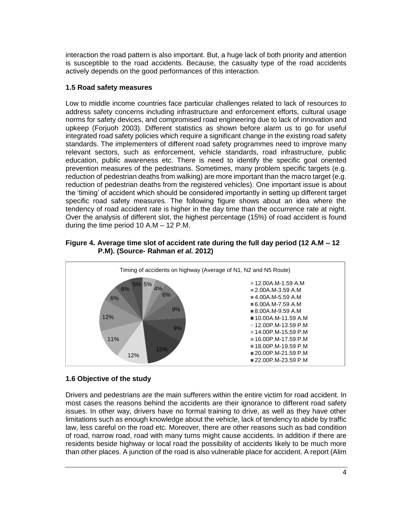interaction the road pattern is also important. But, a huge lack of both priority and attention is susceptible to the road accidents. Because, the casualty type of the road accidents actively depends on the good performances of this interaction.

### **1.5 Road safety measures**

Low to middle income countries face particular challenges related to lack of resources to address safety concerns including infrastructure and enforcement efforts, cultural usage norms for safety devices, and compromised road engineering due to lack of innovation and upkeep (Forjuoh 2003). Different statistics as shown before alarm us to go for useful integrated road safety policies which require a significant change in the existing road safety standards. The implementers of different road safety programmes need to improve many relevant sectors, such as enforcement, vehicle standards, road infrastructure, public education, public awareness etc. There is need to identify the specific goal oriented prevention measures of the pedestrians. Sometimes, many problem specific targets (e.g. reduction of pedestrian deaths from walking) are more important than the macro target (e.g. reduction of pedestrian deaths from the registered vehicles). One important issue is about the 'timing' of accident which should be considered importantly in setting up different target specific road safety measures. The following figure shows about an idea where the tendency of road accident rate is higher in the day time than the occurrence rate at night. Over the analysis of different slot, the highest percentage (15%) of road accident is found during the time period 10 A.M – 12 P.M.

#### **Figure 4. Average time slot of accident rate during the full day period (12 A.M – 12 P.M). (Source- Rahman** *et al.* **2012)**



# **1.6 Objective of the study**

Drivers and pedestrians are the main sufferers within the entire victim for road accident. In most cases the reasons behind the accidents are their ignorance to different road safety issues. In other way, drivers have no formal training to drive, as well as they have other limitations such as enough knowledge about the vehicle, lack of tendency to abide by traffic law, less careful on the road etc. Moreover, there are other reasons such as bad condition of road, narrow road, road with many turns might cause accidents. In addition if there are residents beside highway or local road the possibility of accidents likely to be much more than other places. A junction of the road is also vulnerable place for accident. A report (Alim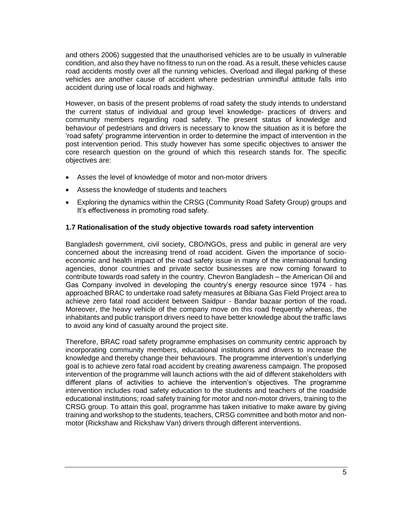and others 2006) suggested that the unauthorised vehicles are to be usually in vulnerable condition, and also they have no fitness to run on the road. As a result, these vehicles cause road accidents mostly over all the running vehicles. Overload and illegal parking of these vehicles are another cause of accident where pedestrian unmindful attitude falls into accident during use of local roads and highway.

However, on basis of the present problems of road safety the study intends to understand the current status of individual and group level knowledge- practices of drivers and community members regarding road safety. The present status of knowledge and behaviour of pedestrians and drivers is necessary to know the situation as it is before the 'road safety' programme intervention in order to determine the impact of intervention in the post intervention period. This study however has some specific objectives to answer the core research question on the ground of which this research stands for. The specific objectives are:

- Asses the level of knowledge of motor and non-motor drivers
- Assess the knowledge of students and teachers
- Exploring the dynamics within the CRSG (Community Road Safety Group) groups and It's effectiveness in promoting road safety.

#### **1.7 Rationalisation of the study objective towards road safety intervention**

Bangladesh government, civil society, CBO/NGOs, press and public in general are very concerned about the increasing trend of road accident. Given the importance of socioeconomic and health impact of the road safety issue in many of the international funding agencies, donor countries and private sector businesses are now coming forward to contribute towards road safety in the country. Chevron Bangladesh – the American Oil and Gas Company involved in developing the country's energy resource since 1974 - has approached BRAC to undertake road safety measures at Bibiana Gas Field Project area to achieve zero fatal road accident between Saidpur - Bandar bazaar portion of the road**.** Moreover, the heavy vehicle of the company move on this road frequently whereas, the inhabitants and public transport drivers need to have better knowledge about the traffic laws to avoid any kind of casualty around the project site.

Therefore, BRAC road safety programme emphasises on community centric approach by incorporating community members, educational institutions and drivers to increase the knowledge and thereby change their behaviours. The programme intervention's underlying goal is to achieve zero fatal road accident by creating awareness campaign. The proposed intervention of the programme will launch actions with the aid of different stakeholders with different plans of activities to achieve the intervention's objectives. The programme intervention includes road safety education to the students and teachers of the roadside educational institutions; road safety training for motor and non-motor drivers, training to the CRSG group. To attain this goal, programme has taken initiative to make aware by giving training and workshop to the students, teachers, CRSG committee and both motor and nonmotor (Rickshaw and Rickshaw Van) drivers through different interventions.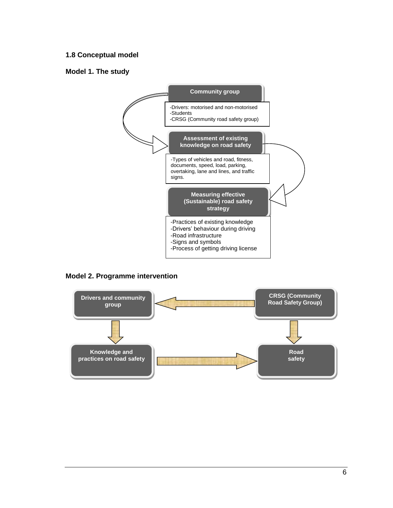# **1.8 Conceptual model**

#### **Model 1. The study**



#### **Model 2. Programme intervention**

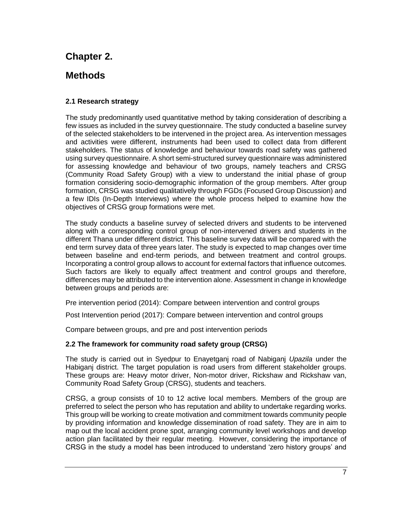# **Chapter 2.**

# **Methods**

# **2.1 Research strategy**

The study predominantly used quantitative method by taking consideration of describing a few issues as included in the survey questionnaire. The study conducted a baseline survey of the selected stakeholders to be intervened in the project area. As intervention messages and activities were different, instruments had been used to collect data from different stakeholders. The status of knowledge and behaviour towards road safety was gathered using survey questionnaire. A short semi-structured survey questionnaire was administered for assessing knowledge and behaviour of two groups, namely teachers and CRSG (Community Road Safety Group) with a view to understand the initial phase of group formation considering socio-demographic information of the group members. After group formation, CRSG was studied qualitatively through FGDs (Focused Group Discussion) and a few IDIs (In-Depth Interviews) where the whole process helped to examine how the objectives of CRSG group formations were met.

The study conducts a baseline survey of selected drivers and students to be intervened along with a corresponding control group of non-intervened drivers and students in the different Thana under different district. This baseline survey data will be compared with the end term survey data of three years later. The study is expected to map changes over time between baseline and end-term periods, and between treatment and control groups. Incorporating a control group allows to account for external factors that influence outcomes. Such factors are likely to equally affect treatment and control groups and therefore, differences may be attributed to the intervention alone. Assessment in change in knowledge between groups and periods are:

Pre intervention period (2014): Compare between intervention and control groups

Post Intervention period (2017): Compare between intervention and control groups

Compare between groups, and pre and post intervention periods

#### **2.2 The framework for community road safety group (CRSG)**

The study is carried out in Syedpur to Enayetganj road of Nabiganj *Upazila* under the Habiganj district. The target population is road users from different stakeholder groups. These groups are: Heavy motor driver, Non-motor driver, Rickshaw and Rickshaw van, Community Road Safety Group (CRSG), students and teachers.

CRSG, a group consists of 10 to 12 active local members. Members of the group are preferred to select the person who has reputation and ability to undertake regarding works. This group will be working to create motivation and commitment towards community people by providing information and knowledge dissemination of road safety. They are in aim to map out the local accident prone spot, arranging community level workshops and develop action plan facilitated by their regular meeting. However, considering the importance of CRSG in the study a model has been introduced to understand 'zero history groups' and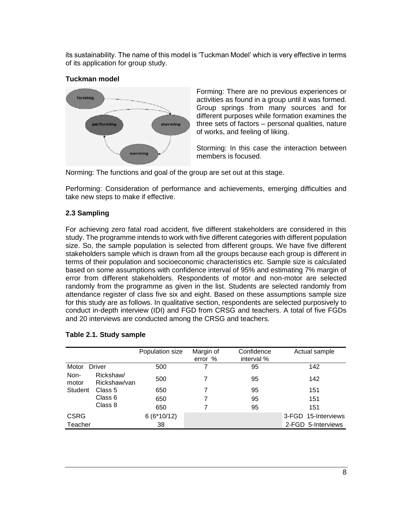its sustainability. The name of this model is 'Tuckman Model' which is very effective in terms of its application for group study.

# **Tuckman model**



Forming: There are no previous experiences or activities as found in a group until it was formed. Group springs from many sources and for different purposes while formation examines the three sets of factors – personal qualities, nature of works, and feeling of liking.

Storming: In this case the interaction between members is focused.

Norming: The functions and goal of the group are set out at this stage.

Performing: Consideration of performance and achievements, emerging difficulties and take new steps to make if effective.

# **2.3 Sampling**

For achieving zero fatal road accident, five different stakeholders are considered in this study. The programme intends to work with five different categories with different population size. So, the sample population is selected from different groups. We have five different stakeholders sample which is drawn from all the groups because each group is different in terms of their population and socioeconomic characteristics etc. Sample size is calculated based on some assumptions with confidence interval of 95% and estimating 7% margin of error from different stakeholders. Respondents of motor and non-motor are selected randomly from the programme as given in the list. Students are selected randomly from attendance register of class five six and eight. Based on these assumptions sample size for this study are as follows. In qualitative section, respondents are selected purposively to conduct in-depth interview (IDI) and FGD from CRSG and teachers. A total of five FGDs and 20 interviews are conducted among the CRSG and teachers.

# **Table 2.1. Study sample**

|                |                           | Population size | Margin of<br>error % | Confidence<br>interval % | Actual sample       |
|----------------|---------------------------|-----------------|----------------------|--------------------------|---------------------|
| Motor          | Driver                    | 500             | 7                    | 95                       | 142                 |
| Non-<br>motor  | Rickshaw/<br>Rickshaw/van | 500             |                      | 95                       | 142                 |
| <b>Student</b> | Class 5                   | 650             |                      | 95                       | 151                 |
|                | Class 6                   | 650             |                      | 95                       | 151                 |
|                | Class 8                   | 650             |                      | 95                       | 151                 |
| <b>CSRG</b>    |                           | $6(6*10/12)$    |                      |                          | 3-FGD 15-Interviews |
| Teacher        |                           | 38              |                      |                          | 2-FGD 5-Interviews  |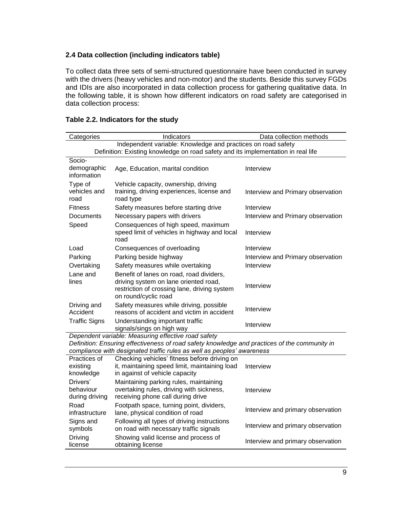### **2.4 Data collection (including indicators table)**

To collect data three sets of semi-structured questionnaire have been conducted in survey with the drivers (heavy vehicles and non-motor) and the students. Beside this survey FGDs and IDIs are also incorporated in data collection process for gathering qualitative data. In the following table, it is shown how different indicators on road safety are categorised in data collection process:

| Categories                                                   | Indicators                                                                                                                                                              | Data collection methods           |
|--------------------------------------------------------------|-------------------------------------------------------------------------------------------------------------------------------------------------------------------------|-----------------------------------|
| Independent variable: Knowledge and practices on road safety |                                                                                                                                                                         |                                   |
|                                                              | Definition: Existing knowledge on road safety and its implementation in real life                                                                                       |                                   |
| Socio-                                                       |                                                                                                                                                                         |                                   |
| demographic<br>information                                   | Age, Education, marital condition                                                                                                                                       | Interview                         |
|                                                              |                                                                                                                                                                         |                                   |
| Type of<br>vehicles and                                      | Vehicle capacity, ownership, driving<br>training, driving experiences, license and                                                                                      |                                   |
| road                                                         | road type                                                                                                                                                               | Interview and Primary observation |
| <b>Fitness</b>                                               | Safety measures before starting drive                                                                                                                                   | Interview                         |
| Documents                                                    | Necessary papers with drivers                                                                                                                                           | Interview and Primary observation |
| Speed                                                        | Consequences of high speed, maximum                                                                                                                                     |                                   |
|                                                              | speed limit of vehicles in highway and local                                                                                                                            | Interview                         |
|                                                              | road                                                                                                                                                                    |                                   |
| Load                                                         | Consequences of overloading                                                                                                                                             | Interview                         |
| Parking                                                      | Parking beside highway                                                                                                                                                  | Interview and Primary observation |
| Overtaking                                                   | Safety measures while overtaking                                                                                                                                        | Interview                         |
| Lane and                                                     | Benefit of lanes on road, road dividers,                                                                                                                                |                                   |
| lines                                                        | driving system on lane oriented road,                                                                                                                                   | Interview                         |
|                                                              | restriction of crossing lane, driving system<br>on round/cyclic road                                                                                                    |                                   |
| Driving and                                                  | Safety measures while driving, possible                                                                                                                                 |                                   |
| Accident                                                     | reasons of accident and victim in accident                                                                                                                              | Interview                         |
| <b>Traffic Signs</b>                                         | Understanding important traffic                                                                                                                                         | Interview                         |
|                                                              | signals/sings on high way                                                                                                                                               |                                   |
|                                                              | Dependent variable: Measuring effective road safety                                                                                                                     |                                   |
|                                                              | Definition: Ensuring effectiveness of road safety knowledge and practices of the community in<br>compliance with designated traffic rules as well as peoples' awareness |                                   |
| Practices of                                                 | Checking vehicles' fitness before driving on                                                                                                                            |                                   |
| existing                                                     | it, maintaining speed limit, maintaining load                                                                                                                           | Interview                         |
| knowledge                                                    | in against of vehicle capacity                                                                                                                                          |                                   |
| Drivers'                                                     | Maintaining parking rules, maintaining                                                                                                                                  |                                   |
| behaviour                                                    | overtaking rules, driving with sickness,                                                                                                                                | Interview                         |
| during driving                                               | receiving phone call during drive                                                                                                                                       |                                   |
| Road                                                         | Footpath space, turning point, dividers,                                                                                                                                | Interview and primary observation |
| infrastructure                                               | lane, physical condition of road                                                                                                                                        |                                   |
| Signs and                                                    | Following all types of driving instructions                                                                                                                             | Interview and primary observation |
| symbols                                                      | on road with necessary traffic signals                                                                                                                                  |                                   |
| <b>Driving</b><br>license                                    | Showing valid license and process of<br>obtaining license                                                                                                               | Interview and primary observation |
|                                                              |                                                                                                                                                                         |                                   |

### **Table 2.2. Indicators for the study**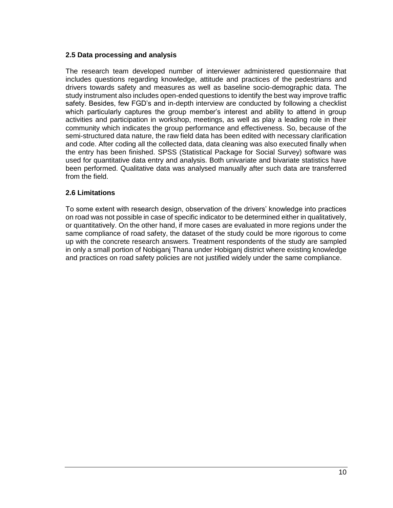### **2.5 Data processing and analysis**

The research team developed number of interviewer administered questionnaire that includes questions regarding knowledge, attitude and practices of the pedestrians and drivers towards safety and measures as well as baseline socio-demographic data. The study instrument also includes open-ended questions to identify the best way improve traffic safety. Besides, few FGD's and in-depth interview are conducted by following a checklist which particularly captures the group member's interest and ability to attend in group activities and participation in workshop, meetings, as well as play a leading role in their community which indicates the group performance and effectiveness. So, because of the semi-structured data nature, the raw field data has been edited with necessary clarification and code. After coding all the collected data, data cleaning was also executed finally when the entry has been finished. SPSS (Statistical Package for Social Survey) software was used for quantitative data entry and analysis. Both univariate and bivariate statistics have been performed. Qualitative data was analysed manually after such data are transferred from the field.

#### **2.6 Limitations**

To some extent with research design, observation of the drivers' knowledge into practices on road was not possible in case of specific indicator to be determined either in qualitatively, or quantitatively. On the other hand, if more cases are evaluated in more regions under the same compliance of road safety, the dataset of the study could be more rigorous to come up with the concrete research answers. Treatment respondents of the study are sampled in only a small portion of Nobiganj Thana under Hobiganj district where existing knowledge and practices on road safety policies are not justified widely under the same compliance.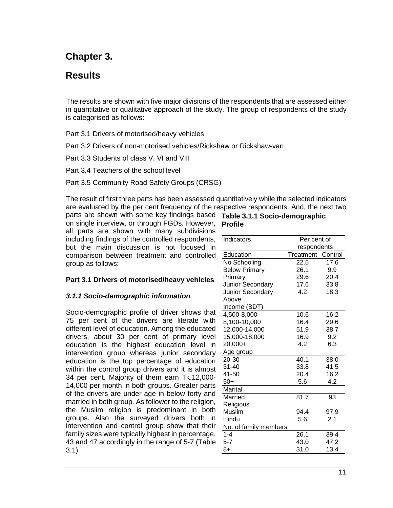# **Chapter 3.**

# **Results**

The results are shown with five major divisions of the respondents that are assessed either in quantitative or qualitative approach of the study. The group of respondents of the study is categorised as follows:

Part 3.1 Drivers of motorised/heavy vehicles

Part 3.2 Drivers of non-motorised vehicles/Rickshaw or Rickshaw-van

Part 3.3 Students of class V, VI and VIII

Part 3.4 Teachers of the school level

Part 3.5 Community Road Safety Groups (CRSG)

The result of first three parts has been assessed quantitatively while the selected indicators are evaluated by the per cent frequency of the respective respondents. And, the next two

parts are shown with some key findings based on single interview, or through FGDs. However, all parts are shown with many subdivisions including findings of the controlled respondents, but the main discussion is not focused in comparison between treatment and controlled group as follows:

# **Part 3.1 Drivers of motorised/heavy vehicles**

#### *3.1.1 Socio-demographic information*

Socio-demographic profile of driver shows that 75 per cent of the drivers are literate with different level of education. Among the educated drivers, about 30 per cent of primary level education is the highest education level in intervention group whereas junior secondary education is the top percentage of education within the control group drivers and it is almost 34 per cent. Majority of them earn Tk.12,000- 14,000 per month in both groups. Greater parts of the drivers are under age in below forty and married in both group. As follower to the religion, the Muslim religion is predominant in both groups. Also the surveyed drivers both in intervention and control group show that their family sizes were typically highest in percentage, 43 and 47 accordingly in the range of 5-7 (Table 3.1).

| Table 3.1.1 Socio-demographic |
|-------------------------------|
| <b>Profile</b>                |

| Indicators            | Per cent of       |      |
|-----------------------|-------------------|------|
|                       | respondents       |      |
| Education             | Treatment Control |      |
| No Schooling          | 22.5              | 17.6 |
| <b>Below Primary</b>  | 26.1              | 9.9  |
| Primary               | 29.6              | 20.4 |
| Junior Secondary      | 17.6              | 33.8 |
| Junior Secondary      | 4.2               | 18.3 |
| Above                 |                   |      |
| Income (BDT)          |                   |      |
| 4,500-8,000           | 10.6              | 16.2 |
| 8,100-10,000          | 16.4              | 29.6 |
| 12,000-14,000         | 51.9              | 38.7 |
| 15,000-18,000         | 16.9              | 9.2  |
| 20,000+               | 4.2               | 6.3  |
| Age group             |                   |      |
| 20-30                 | 40.1              | 38.0 |
| $31 - 40$             | 33.8              | 41.5 |
| 41-50                 | 20.4              | 16.2 |
| $50+$                 | 5.6               | 4.2  |
| Marital               |                   |      |
| Married               | 81.7              | 93   |
| Religious             |                   |      |
| <b>Muslim</b>         | 94.4              | 97.9 |
| Hindu                 | 5.6               | 2.1  |
| No. of family members |                   |      |
| $1 - 4$               | 26.1              | 39.4 |
| $5 - 7$               | 43.0              | 47.2 |
| $8+$                  | 31.0              | 13.4 |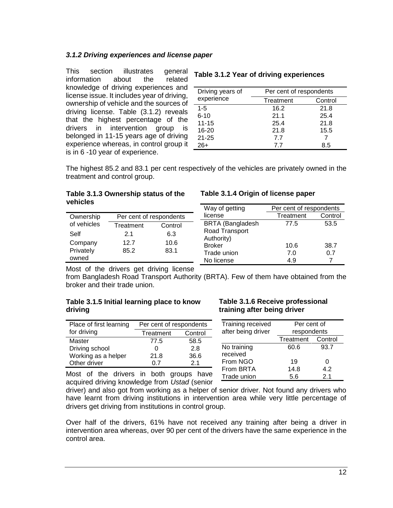### *3.1.2 Driving experiences and license paper*

This section illustrates general information about the related knowledge of driving experiences and license issue. It includes year of driving, ownership of vehicle and the sources of driving license. Table (3.1.2) reveals that the highest percentage of the drivers in intervention group is belonged in 11-15 years age of driving experience whereas, in control group it is in 6 -10 year of experience.

# **Table 3.1.2 Year of driving experiences**

| Driving years of | Per cent of respondents |         |
|------------------|-------------------------|---------|
| experience       | Treatment               | Control |
| $1 - 5$          | 16.2                    | 21.8    |
| $6 - 10$         | 21.1                    | 25.4    |
| $11 - 15$        | 25.4                    | 21.8    |
| $16 - 20$        | 21.8                    | 15.5    |
| $21 - 25$        | 7.7                     |         |
| $26+$            | 77                      | 8.5     |

The highest 85.2 and 83.1 per cent respectively of the vehicles are privately owned in the treatment and control group.

#### **Table 3.1.3 Ownership status of the vehicles**

| Ownership   | Per cent of respondents |         |  |
|-------------|-------------------------|---------|--|
| of vehicles | Treatment               | Control |  |
| Self        | 2.1                     | 6.3     |  |
| Company     | 12.7                    | 10.6    |  |
| Privately   | 85.2                    | 83.1    |  |
| owned       |                         |         |  |

#### **Table 3.1.4 Origin of license paper**

| Per cent of respondents |      |
|-------------------------|------|
| Control<br>Treatment    |      |
| 77.5                    | 53.5 |
|                         |      |
|                         |      |
| 10.6                    | 38.7 |
| 7.0                     | 0.7  |
| 4.9                     |      |
|                         |      |

Most of the drivers get driving license

from Bangladesh Road Transport Authority (BRTA). Few of them have obtained from the broker and their trade union.

#### **Table 3.1.5 Initial learning place to know driving**

| Place of first learning | Per cent of respondents |                |  |  |
|-------------------------|-------------------------|----------------|--|--|
| for driving             | Treatment<br>Control    |                |  |  |
| Master                  | 77.5                    | 58.5           |  |  |
| Driving school          | 0                       | 2.8            |  |  |
| Working as a helper     | 21.8                    | 36.6           |  |  |
| Other driver            | በ 7                     | 2 <sub>1</sub> |  |  |
|                         |                         |                |  |  |

#### **Table 3.1.6 Receive professional training after being driver**

| Training received  | Per cent of       |      |  |  |
|--------------------|-------------------|------|--|--|
| after being driver | respondents       |      |  |  |
|                    | Treatment Control |      |  |  |
| No training        | 60.6              | 93.7 |  |  |
| received           |                   |      |  |  |
| From NGO           | 19                | 0    |  |  |
| From BRTA          | 14.8              | 4.2  |  |  |
| Trade union        | 5.6               | 21   |  |  |

Most of the drivers in both groups have acquired driving knowledge from *Ustad* (senior

driver) and also got from working as a helper of senior driver. Not found any drivers who have learnt from driving institutions in intervention area while very little percentage of drivers get driving from institutions in control group.

Over half of the drivers, 61% have not received any training after being a driver in intervention area whereas, over 90 per cent of the drivers have the same experience in the control area.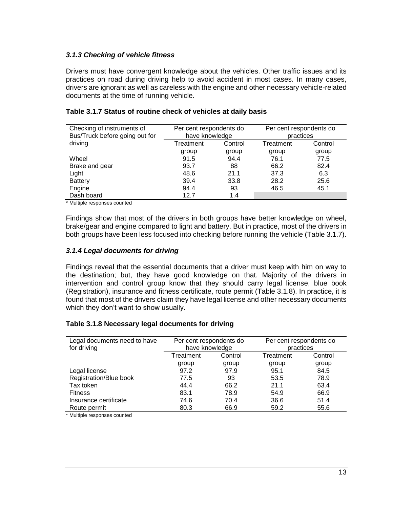### *3.1.3 Checking of vehicle fitness*

Drivers must have convergent knowledge about the vehicles. Other traffic issues and its practices on road during driving help to avoid accident in most cases. In many cases, drivers are ignorant as well as careless with the engine and other necessary vehicle-related documents at the time of running vehicle.

| Checking of instruments of<br>Bus/Truck before going out for | Per cent respondents do<br>have knowledge |         | Per cent respondents do<br>practices |         |
|--------------------------------------------------------------|-------------------------------------------|---------|--------------------------------------|---------|
| driving                                                      | Treatment                                 | Control | Treatment                            | Control |
|                                                              | group                                     | group   | group                                | group   |
| Wheel                                                        | 91.5                                      | 94.4    | 76.1                                 | 77.5    |
| Brake and gear                                               | 93.7                                      | 88      | 66.2                                 | 82.4    |
| Light                                                        | 48.6                                      | 21.1    | 37.3                                 | 6.3     |
| <b>Battery</b>                                               | 39.4                                      | 33.8    | 28.2                                 | 25.6    |
| Engine                                                       | 94.4                                      | 93      | 46.5                                 | 45.1    |
| Dash board                                                   | 12.7                                      | 1.4     |                                      |         |

#### **Table 3.1.7 Status of routine check of vehicles at daily basis**

\* Multiple responses counted

Findings show that most of the drivers in both groups have better knowledge on wheel, brake/gear and engine compared to light and battery. But in practice, most of the drivers in both groups have been less focused into checking before running the vehicle (Table 3.1.7).

#### *3.1.4 Legal documents for driving*

Findings reveal that the essential documents that a driver must keep with him on way to the destination; but, they have good knowledge on that. Majority of the drivers in intervention and control group know that they should carry legal license, blue book (Registration), insurance and fitness certificate, route permit (Table 3.1.8). In practice, it is found that most of the drivers claim they have legal license and other necessary documents which they don't want to show usually.

#### **Table 3.1.8 Necessary legal documents for driving**

| Legal documents need to have<br>for driving | Per cent respondents do<br>have knowledge |         | Per cent respondents do<br>practices |         |
|---------------------------------------------|-------------------------------------------|---------|--------------------------------------|---------|
|                                             | Treatment                                 | Control | Treatment                            | Control |
|                                             | group                                     | group   | group                                | group   |
| Legal license                               | 97.2                                      | 97.9    | 95.1                                 | 84.5    |
| Registration/Blue book                      | 77.5                                      | 93      | 53.5                                 | 78.9    |
| Tax token                                   | 44.4                                      | 66.2    | 21.1                                 | 63.4    |
| <b>Fitness</b>                              | 83.1                                      | 78.9    | 54.9                                 | 66.9    |
| Insurance certificate                       | 74.6                                      | 70.4    | 36.6                                 | 51.4    |
| Route permit                                | 80.3                                      | 66.9    | 59.2                                 | 55.6    |

\* Multiple responses counted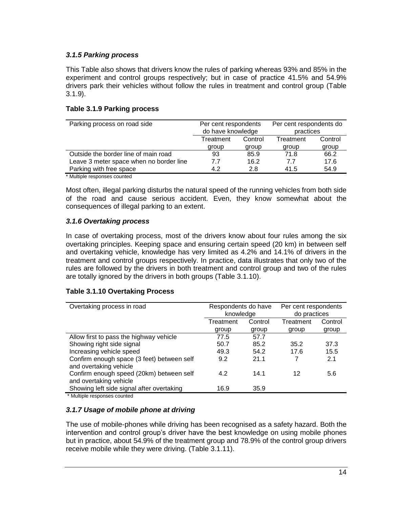# *3.1.5 Parking process*

This Table also shows that drivers know the rules of parking whereas 93% and 85% in the experiment and control groups respectively; but in case of practice 41.5% and 54.9% drivers park their vehicles without follow the rules in treatment and control group (Table 3.1.9).

#### **Table 3.1.9 Parking process**

| Parking process on road side                                                                                                                                                                                                      | Per cent respondents |                                | Per cent respondents do |         |
|-----------------------------------------------------------------------------------------------------------------------------------------------------------------------------------------------------------------------------------|----------------------|--------------------------------|-------------------------|---------|
|                                                                                                                                                                                                                                   |                      | do have knowledge<br>practices |                         |         |
|                                                                                                                                                                                                                                   | Control<br>Treatment |                                | Treatment               | Control |
|                                                                                                                                                                                                                                   | group                | group                          | group                   | group   |
| Outside the border line of main road                                                                                                                                                                                              | 93                   | 85.9                           | 71.8                    | 66.2    |
| Leave 3 meter space when no border line                                                                                                                                                                                           | 7.7                  | 16.2                           | 7.7                     | 17.6    |
| Parking with free space                                                                                                                                                                                                           | 4.2                  | 2.8                            | 41.5                    | 54.9    |
| $\mathbf{a}$ , and the contract of the contract of the contract of the contract of the contract of the contract of the contract of the contract of the contract of the contract of the contract of the contract of the contract o |                      |                                |                         |         |

\* Multiple responses counted

Most often, illegal parking disturbs the natural speed of the running vehicles from both side of the road and cause serious accident. Even, they know somewhat about the consequences of illegal parking to an extent.

# *3.1.6 Overtaking process*

In case of overtaking process, most of the drivers know about four rules among the six overtaking principles. Keeping space and ensuring certain speed (20 km) in between self and overtaking vehicle, knowledge has very limited as 4.2% and 14.1% of drivers in the treatment and control groups respectively. In practice, data illustrates that only two of the rules are followed by the drivers in both treatment and control group and two of the rules are totally ignored by the drivers in both groups (Table 3.1.10).

# **Table 3.1.10 Overtaking Process**

| Overtaking process in road                                           | Respondents do have<br>knowledge |         | Per cent respondents<br>do practices |         |  |
|----------------------------------------------------------------------|----------------------------------|---------|--------------------------------------|---------|--|
|                                                                      | Treatment                        | Control |                                      | Control |  |
|                                                                      | group                            | group   | group                                | group   |  |
| Allow first to pass the highway vehicle                              | 77.5                             | 57.7    |                                      |         |  |
| Showing right side signal                                            | 50.7                             | 85.2    | 35.2                                 | 37.3    |  |
| Increasing vehicle speed                                             | 49.3                             | 54.2    | 17.6                                 | 15.5    |  |
| Confirm enough space (3 feet) between self<br>and overtaking vehicle | 9.2                              | 21.1    |                                      | 2.1     |  |
| Confirm enough speed (20km) between self<br>and overtaking vehicle   | 4.2                              | 14.1    | 12                                   | 5.6     |  |
| Showing left side signal after overtaking                            | 16.9                             | 35.9    |                                      |         |  |

\* Multiple responses counted

# *3.1.7 Usage of mobile phone at driving*

The use of mobile-phones while driving has been recognised as a safety hazard. Both the intervention and control group's driver have the best knowledge on using mobile phones but in practice, about 54.9% of the treatment group and 78.9% of the control group drivers receive mobile while they were driving. (Table 3.1.11).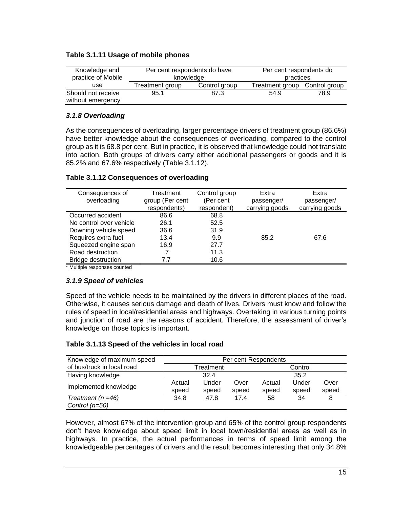### **Table 3.1.11 Usage of mobile phones**

| Knowledge and      | Per cent respondents do have |               | Per cent respondents do |               |
|--------------------|------------------------------|---------------|-------------------------|---------------|
| practice of Mobile | knowledge                    |               | practices               |               |
| use                | Treatment group              | Control group | Treatment group         | Control group |
| Should not receive | 95.1                         | 87.3          | 54.9                    | 78.9          |
| without emergency  |                              |               |                         |               |

### *3.1.8 Overloading*

As the consequences of overloading, larger percentage drivers of treatment group (86.6%) have better knowledge about the consequences of overloading, compared to the control group as it is 68.8 per cent. But in practice, it is observed that knowledge could not translate into action. Both groups of drivers carry either additional passengers or goods and it is 85.2% and 67.6% respectively (Table 3.1.12).

#### **Table 3.1.12 Consequences of overloading**

| Consequences of<br>overloading | Treatment<br>group (Per cent<br>respondents) | Control group<br>(Per cent<br>respondent) | Extra<br>passenger/<br>carrying goods | Extra<br>passenger/<br>carrying goods |
|--------------------------------|----------------------------------------------|-------------------------------------------|---------------------------------------|---------------------------------------|
| Occurred accident              | 86.6                                         | 68.8                                      |                                       |                                       |
| No control over vehicle        | 26.1                                         | 52.5                                      |                                       |                                       |
| Downing vehicle speed          | 36.6                                         | 31.9                                      |                                       |                                       |
| Requires extra fuel            | 13.4                                         | 9.9                                       | 85.2                                  | 67.6                                  |
| Squeezed engine span           | 16.9                                         | 27.7                                      |                                       |                                       |
| Road destruction               | .7                                           | 11.3                                      |                                       |                                       |
| <b>Bridge destruction</b>      | 7.7                                          | 10.6                                      |                                       |                                       |

\* Multiple responses counted

# *3.1.9 Speed of vehicles*

Speed of the vehicle needs to be maintained by the drivers in different places of the road. Otherwise, it causes serious damage and death of lives. Drivers must know and follow the rules of speed in local/residential areas and highways. Overtaking in various turning points and junction of road are the reasons of accident. Therefore, the assessment of driver's knowledge on those topics is important.

#### **Table 3.1.13 Speed of the vehicles in local road**

| Knowledge of maximum speed | Per cent Respondents |       |       |        |         |       |
|----------------------------|----------------------|-------|-------|--------|---------|-------|
| of bus/truck in local road | Treatment            |       |       |        | Control |       |
| Having knowledge           |                      | 32.4  |       |        | 35.2    |       |
| Implemented knowledge      | Actual               | Under | Over  | Actual | Under   | Over  |
|                            | speed                | speed | speed | speed  | speed   | speed |
| Treatment ( $n = 46$ )     | 34.8                 | 47.8  | 174   | 58     | 34      | 8     |
| Control (n=50)             |                      |       |       |        |         |       |

However, almost 67% of the intervention group and 65% of the control group respondents don't have knowledge about speed limit in local town/residential areas as well as in highways. In practice, the actual performances in terms of speed limit among the knowledgeable percentages of drivers and the result becomes interesting that only 34.8%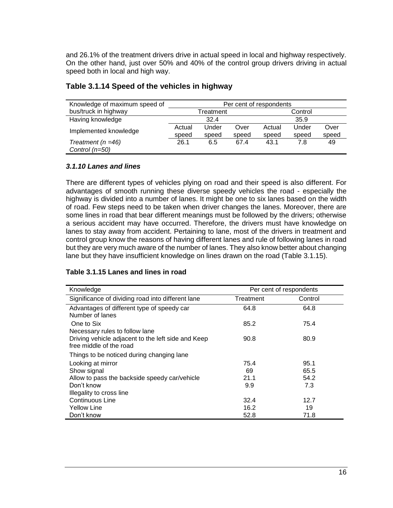and 26.1% of the treatment drivers drive in actual speed in local and highway respectively. On the other hand, just over 50% and 40% of the control group drivers driving in actual speed both in local and high way.

| Knowledge of maximum speed of | Per cent of respondents |       |       |         |       |       |
|-------------------------------|-------------------------|-------|-------|---------|-------|-------|
| bus/truck in highway          | Treatment               |       |       | Control |       |       |
| Having knowledge              | 32.4<br>35.9            |       |       |         |       |       |
| Implemented knowledge         | Actual                  | Under | Over  | Actual  | Under | Over  |
|                               | speed                   | speed | speed | speed   | speed | speed |
| Treatment ( $n = 46$ )        | 26.1                    | 6.5   | 67.4  | 43.1    | 7.8   | 49    |
| Control $(n=50)$              |                         |       |       |         |       |       |

# **Table 3.1.14 Speed of the vehicles in highway**

#### *3.1.10 Lanes and lines*

There are different types of vehicles plying on road and their speed is also different. For advantages of smooth running these diverse speedy vehicles the road - especially the highway is divided into a number of lanes. It might be one to six lanes based on the width of road. Few steps need to be taken when driver changes the lanes. Moreover, there are some lines in road that bear different meanings must be followed by the drivers; otherwise a serious accident may have occurred. Therefore, the drivers must have knowledge on lanes to stay away from accident. Pertaining to lane, most of the drivers in treatment and control group know the reasons of having different lanes and rule of following lanes in road but they are very much aware of the number of lanes. They also know better about changing lane but they have insufficient knowledge on lines drawn on the road (Table 3.1.15).

#### **Table 3.1.15 Lanes and lines in road**

| Knowledge                                          | Per cent of respondents |         |  |
|----------------------------------------------------|-------------------------|---------|--|
| Significance of dividing road into different lane  | Treatment               | Control |  |
| Advantages of different type of speedy car         | 64.8                    | 64.8    |  |
| Number of lanes                                    |                         |         |  |
| One to Six                                         | 85.2                    | 75.4    |  |
| Necessary rules to follow lane                     |                         |         |  |
| Driving vehicle adjacent to the left side and Keep | 90.8                    | 80.9    |  |
| free middle of the road                            |                         |         |  |
| Things to be noticed during changing lane          |                         |         |  |
| Looking at mirror                                  | 75.4                    | 95.1    |  |
| Show signal                                        | 69                      | 65.5    |  |
| Allow to pass the backside speedy car/vehicle      | 21.1                    | 54.2    |  |
| Don't know                                         | 9.9                     | 7.3     |  |
| Illegality to cross line                           |                         |         |  |
| Continuous Line                                    | 32.4                    | 12.7    |  |
| <b>Yellow Line</b>                                 | 16.2                    | 19      |  |
| Don't know                                         | 52.8                    | 71.8    |  |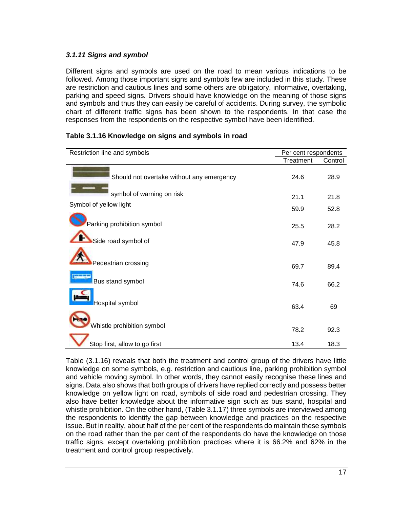# *3.1.11 Signs and symbol*

Different signs and symbols are used on the road to mean various indications to be followed. Among those important signs and symbols few are included in this study. These are restriction and cautious lines and some others are obligatory, informative, overtaking, parking and speed signs. Drivers should have knowledge on the meaning of those signs and symbols and thus they can easily be careful of accidents. During survey, the symbolic chart of different traffic signs has been shown to the respondents. In that case the responses from the respondents on the respective symbol have been identified.

| Restriction line and symbols              | Per cent respondents |         |
|-------------------------------------------|----------------------|---------|
|                                           | Treatment            | Control |
| Should not overtake without any emergency | 24.6                 | 28.9    |
| symbol of warning on risk                 | 21.1                 | 21.8    |
| Symbol of yellow light                    | 59.9                 | 52.8    |
| Parking prohibition symbol                | 25.5                 | 28.2    |
| Side road symbol of                       | 47.9                 | 45.8    |
| Pedestrian crossing                       | 69.7                 | 89.4    |
| Bus stand symbol                          | 74.6                 | 66.2    |
| Hospital symbol                           | 63.4                 | 69      |
| Whistle prohibition symbol                | 78.2                 | 92.3    |
| Stop first, allow to go first             | 13.4                 | 18.3    |

### **Table 3.1.16 Knowledge on signs and symbols in road**

Table (3.1.16) reveals that both the treatment and control group of the drivers have little knowledge on some symbols, e.g. restriction and cautious line, parking prohibition symbol and vehicle moving symbol. In other words, they cannot easily recognise these lines and signs. Data also shows that both groups of drivers have replied correctly and possess better knowledge on yellow light on road, symbols of side road and pedestrian crossing. They also have better knowledge about the informative sign such as bus stand, hospital and whistle prohibition. On the other hand, (Table 3.1.17) three symbols are interviewed among the respondents to identify the gap between knowledge and practices on the respective issue. But in reality, about half of the per cent of the respondents do maintain these symbols on the road rather than the per cent of the respondents do have the knowledge on those traffic signs, except overtaking prohibition practices where it is 66.2% and 62% in the treatment and control group respectively.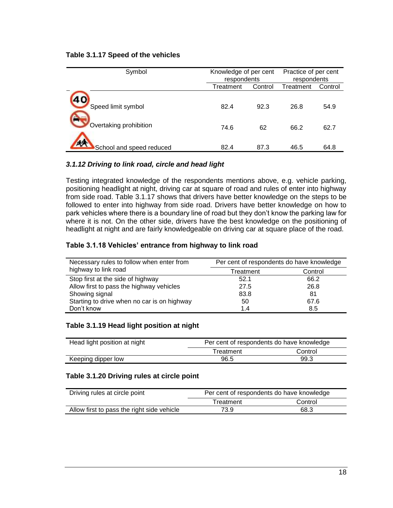#### **Table 3.1.17 Speed of the vehicles**

| Symbol                                       | Knowledge of per cent<br>respondents |            | Practice of per cent<br>respondents |              |
|----------------------------------------------|--------------------------------------|------------|-------------------------------------|--------------|
|                                              | Treatment                            | Control    | Treatment                           | Control      |
| Speed limit symbol<br>Overtaking prohibition | 82.4<br>74.6                         | 92.3<br>62 | 26.8<br>66.2                        | 54.9<br>62.7 |
| 4A<br>School and speed reduced               | 82.4                                 | 87.3       | 46.5                                | 64.8         |

#### *3.1.12 Driving to link road, circle and head light*

Testing integrated knowledge of the respondents mentions above, e.g. vehicle parking, positioning headlight at night, driving car at square of road and rules of enter into highway from side road. Table 3.1.17 shows that drivers have better knowledge on the steps to be followed to enter into highway from side road. Drivers have better knowledge on how to park vehicles where there is a boundary line of road but they don't know the parking law for where it is not. On the other side, drivers have the best knowledge on the positioning of headlight at night and are fairly knowledgeable on driving car at square place of the road.

#### **Table 3.1.18 Vehicles' entrance from highway to link road**

| Necessary rules to follow when enter from   | Per cent of respondents do have knowledge |         |  |  |
|---------------------------------------------|-------------------------------------------|---------|--|--|
| highway to link road                        | Treatment                                 | Control |  |  |
| Stop first at the side of highway           | 52.1                                      | 66.2    |  |  |
| Allow first to pass the highway vehicles    | 27.5                                      | 26.8    |  |  |
| Showing signal                              | 83.8                                      | 81      |  |  |
| Starting to drive when no car is on highway | 50                                        | 67.6    |  |  |
| Don't know                                  | 1.4                                       | 8.5     |  |  |

#### **Table 3.1.19 Head light position at night**

| Head light position at night | Per cent of respondents do have knowledge |         |
|------------------------------|-------------------------------------------|---------|
|                              | Treatment                                 | Control |
| Keeping dipper low           | 96.5                                      | 99.3    |

#### **Table 3.1.20 Driving rules at circle point**

| Driving rules at circle point              | Per cent of respondents do have knowledge |         |
|--------------------------------------------|-------------------------------------------|---------|
|                                            | Treatment                                 | Control |
| Allow first to pass the right side vehicle | 73.9                                      | 68.3    |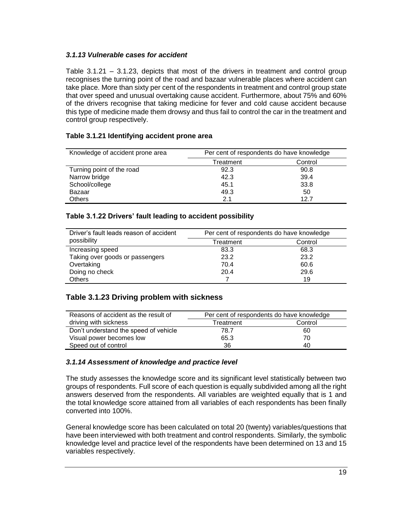### *3.1.13 Vulnerable cases for accident*

Table 3.1.21 – 3.1.23, depicts that most of the drivers in treatment and control group recognises the turning point of the road and bazaar vulnerable places where accident can take place. More than sixty per cent of the respondents in treatment and control group state that over speed and unusual overtaking cause accident. Furthermore, about 75% and 60% of the drivers recognise that taking medicine for fever and cold cause accident because this type of medicine made them drowsy and thus fail to control the car in the treatment and control group respectively.

### **Table 3.1.21 Identifying accident prone area**

| Knowledge of accident prone area | Per cent of respondents do have knowledge |         |
|----------------------------------|-------------------------------------------|---------|
|                                  | Treatment                                 | Control |
| Turning point of the road        | 92.3                                      | 90.8    |
| Narrow bridge                    | 42.3                                      | 39.4    |
| School/college                   | 45.1                                      | 33.8    |
| Bazaar                           | 49.3                                      | 50      |
| <b>Others</b>                    | 2.1                                       | 12.7    |

#### **Table 3.1.22 Drivers' fault leading to accident possibility**

| Driver's fault leads reason of accident | Per cent of respondents do have knowledge |         |
|-----------------------------------------|-------------------------------------------|---------|
| possibility                             | Treatment                                 | Control |
| Increasing speed                        | 83.3                                      | 68.3    |
| Taking over goods or passengers         | 23.2                                      | 23.2    |
| Overtaking                              | 70.4                                      | 60.6    |
| Doing no check                          | 20.4                                      | 29.6    |
| <b>Others</b>                           |                                           | 19      |

#### **Table 3.1.23 Driving problem with sickness**

| Reasons of accident as the result of  | Per cent of respondents do have knowledge |    |  |
|---------------------------------------|-------------------------------------------|----|--|
| driving with sickness                 | Control<br>Treatment                      |    |  |
| Don't understand the speed of vehicle | 78.7                                      | 60 |  |
| Visual power becomes low              | 65.3                                      | 70 |  |
| Speed out of control                  | 36                                        | 40 |  |

#### *3.1.14 Assessment of knowledge and practice level*

The study assesses the knowledge score and its significant level statistically between two groups of respondents. Full score of each question is equally subdivided among all the right answers deserved from the respondents. All variables are weighted equally that is 1 and the total knowledge score attained from all variables of each respondents has been finally converted into 100%.

General knowledge score has been calculated on total 20 (twenty) variables/questions that have been interviewed with both treatment and control respondents. Similarly, the symbolic knowledge level and practice level of the respondents have been determined on 13 and 15 variables respectively.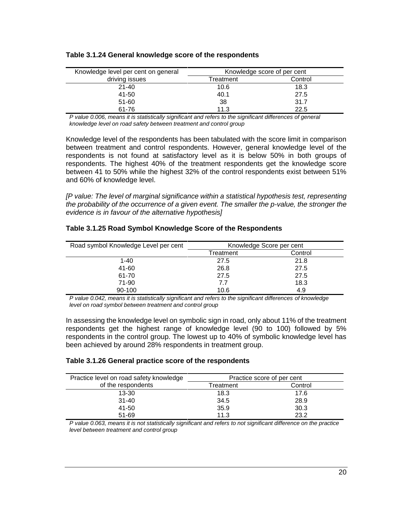| Knowledge level per cent on general | Knowledge score of per cent |         |
|-------------------------------------|-----------------------------|---------|
| driving issues                      | Treatment                   | Control |
| $21 - 40$                           | 10.6                        | 18.3    |
| 41-50                               | 40.1                        | 27.5    |
| 51-60                               | 38                          | 31.7    |
| 61-76                               | 11.3                        | 22.5    |

#### **Table 3.1.24 General knowledge score of the respondents**

*P value 0.006, means it is statistically significant and refers to the significant differences of general knowledge level on road safety between treatment and control group*

Knowledge level of the respondents has been tabulated with the score limit in comparison between treatment and control respondents. However, general knowledge level of the respondents is not found at satisfactory level as it is below 50% in both groups of respondents. The highest 40% of the treatment respondents get the knowledge score between 41 to 50% while the highest 32% of the control respondents exist between 51% and 60% of knowledge level.

*[P value: The level of marginal significance within a statistical hypothesis test, representing the probability of the occurrence of a given event. The smaller the p-value, the stronger the evidence is in favour of the alternative hypothesis]*

| Road symbol Knowledge Level per cent | Knowledge Score per cent |         |
|--------------------------------------|--------------------------|---------|
|                                      | Treatment                | Control |
| $1 - 40$                             | 27.5                     | 21.8    |
| 41-60                                | 26.8                     | 27.5    |
| 61-70                                | 27.5                     | 27.5    |
| 71-90                                | 7.7                      | 18.3    |
| 90-100                               | 10.6                     | 4.9     |

#### **Table 3.1.25 Road Symbol Knowledge Score of the Respondents**

*P value 0.042, means it is statistically significant and refers to the significant differences of knowledge level on road symbol between treatment and control group*

In assessing the knowledge level on symbolic sign in road, only about 11% of the treatment respondents get the highest range of knowledge level (90 to 100) followed by 5% respondents in the control group. The lowest up to 40% of symbolic knowledge level has been achieved by around 28% respondents in treatment group.

#### **Table 3.1.26 General practice score of the respondents**

| Practice level on road safety knowledge | Practice score of per cent |         |  |
|-----------------------------------------|----------------------------|---------|--|
| of the respondents                      | Treatment                  | Control |  |
| $13 - 30$                               | 18.3                       | 17.6    |  |
| $31 - 40$                               | 34.5                       | 28.9    |  |
| 41-50                                   | 35.9                       | 30.3    |  |
| 51-69                                   | 11.3                       | 23.2    |  |

*P value 0.063, means it is not statistically significant and refers to not significant difference on the practice level between treatment and control group*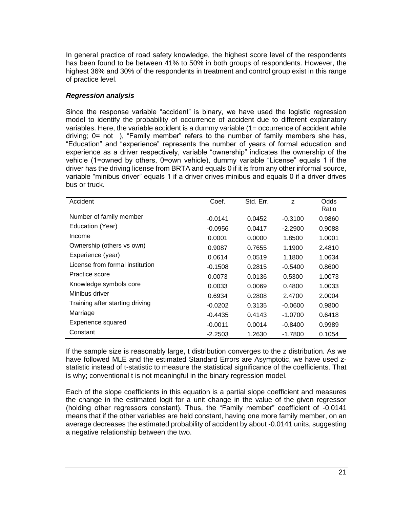In general practice of road safety knowledge, the highest score level of the respondents has been found to be between 41% to 50% in both groups of respondents. However, the highest 36% and 30% of the respondents in treatment and control group exist in this range of practice level.

### *Regression analysis*

Since the response variable "accident" is binary, we have used the logistic regression model to identify the probability of occurrence of accident due to different explanatory variables. Here, the variable accident is a dummy variable (1= occurrence of accident while driving; 0= not ), "Family member" refers to the number of family members she has, "Education" and "experience" represents the number of years of formal education and experience as a driver respectively, variable "ownership" indicates the ownership of the vehicle (1=owned by others, 0=own vehicle), dummy variable "License" equals 1 if the driver has the driving license from BRTA and equals 0 if it is from any other informal source, variable "minibus driver" equals 1 if a driver drives minibus and equals 0 if a driver drives bus or truck.

| Accident                        | Coef.     | Std. Err. | Z         | Odds<br>Ratio |
|---------------------------------|-----------|-----------|-----------|---------------|
| Number of family member         | $-0.0141$ | 0.0452    | $-0.3100$ | 0.9860        |
| Education (Year)                | $-0.0956$ | 0.0417    | $-2.2900$ | 0.9088        |
| Income                          | 0.0001    | 0.0000    | 1.8500    | 1.0001        |
| Ownership (others vs own)       | 0.9087    | 0.7655    | 1.1900    | 2.4810        |
| Experience (year)               | 0.0614    | 0.0519    | 1.1800    | 1.0634        |
| License from formal institution | $-0.1508$ | 0.2815    | $-0.5400$ | 0.8600        |
| Practice score                  | 0.0073    | 0.0136    | 0.5300    | 1.0073        |
| Knowledge symbols core          | 0.0033    | 0.0069    | 0.4800    | 1.0033        |
| Minibus driver                  | 0.6934    | 0.2808    | 2.4700    | 2.0004        |
| Training after starting driving | $-0.0202$ | 0.3135    | $-0.0600$ | 0.9800        |
| Marriage                        | $-0.4435$ | 0.4143    | $-1.0700$ | 0.6418        |
| <b>Experience squared</b>       | $-0.0011$ | 0.0014    | $-0.8400$ | 0.9989        |
| Constant                        | $-2.2503$ | 1.2630    | $-1.7800$ | 0.1054        |

If the sample size is reasonably large, t distribution converges to the z distribution. As we have followed MLE and the estimated Standard Errors are Asymptotic, we have used zstatistic instead of t-statistic to measure the statistical significance of the coefficients. That is why; conventional t is not meaningful in the binary regression model.

Each of the slope coefficients in this equation is a partial slope coefficient and measures the change in the estimated logit for a unit change in the value of the given regressor (holding other regressors constant). Thus, the "Family member" coefficient of -0.0141 means that if the other variables are held constant, having one more family member, on an average decreases the estimated probability of accident by about -0.0141 units, suggesting a negative relationship between the two.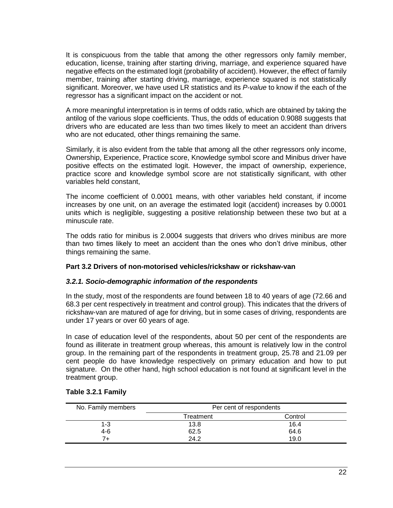It is conspicuous from the table that among the other regressors only family member, education, license, training after starting driving, marriage, and experience squared have negative effects on the estimated logit (probability of accident). However, the effect of family member, training after starting driving, marriage, experience squared is not statistically significant. Moreover, we have used LR statistics and its *P-value* to know if the each of the regressor has a significant impact on the accident or not.

A more meaningful interpretation is in terms of odds ratio, which are obtained by taking the antilog of the various slope coefficients. Thus, the odds of education 0.9088 suggests that drivers who are educated are less than two times likely to meet an accident than drivers who are not educated, other things remaining the same.

Similarly, it is also evident from the table that among all the other regressors only income, Ownership, Experience, Practice score, Knowledge symbol score and Minibus driver have positive effects on the estimated logit. However, the impact of ownership, experience, practice score and knowledge symbol score are not statistically significant, with other variables held constant,

The income coefficient of 0.0001 means, with other variables held constant, if income increases by one unit, on an average the estimated logit (accident) increases by 0.0001 units which is negligible, suggesting a positive relationship between these two but at a minuscule rate.

The odds ratio for minibus is 2.0004 suggests that drivers who drives minibus are more than two times likely to meet an accident than the ones who don't drive minibus, other things remaining the same.

#### **Part 3.2 Drivers of non-motorised vehicles/rickshaw or rickshaw-van**

#### *3.2.1. Socio-demographic information of the respondents*

In the study, most of the respondents are found between 18 to 40 years of age (72.66 and 68.3 per cent respectively in treatment and control group). This indicates that the drivers of rickshaw-van are matured of age for driving, but in some cases of driving, respondents are under 17 years or over 60 years of age.

In case of education level of the respondents, about 50 per cent of the respondents are found as illiterate in treatment group whereas, this amount is relatively low in the control group. In the remaining part of the respondents in treatment group, 25.78 and 21.09 per cent people do have knowledge respectively on primary education and how to put signature. On the other hand, high school education is not found at significant level in the treatment group.

| No. Family members | Per cent of respondents |         |
|--------------------|-------------------------|---------|
|                    | Treatment               | Control |
| $1 - 3$            | 13.8                    | 16.4    |
| 4-6                | 62.5                    | 64.6    |
|                    | 24.2                    | 19.0    |

#### **Table 3.2.1 Family**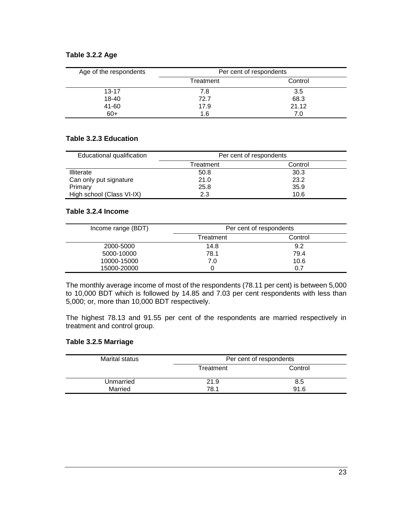#### **Table 3.2.2 Age**

| Age of the respondents | Per cent of respondents |         |
|------------------------|-------------------------|---------|
|                        | Treatment               | Control |
| $13 - 17$              | 7.8                     | 3.5     |
| 18-40                  | 72.7                    | 68.3    |
| 41-60                  | 17.9                    | 21.12   |
| $60+$                  | 1.6                     | 7.0     |

#### **Table 3.2.3 Education**

| Educational qualification | Per cent of respondents |         |  |
|---------------------------|-------------------------|---------|--|
|                           | Treatment               | Control |  |
| Illiterate                | 50.8                    | 30.3    |  |
| Can only put signature    | 21.0                    | 23.2    |  |
| Primary                   | 25.8                    | 35.9    |  |
| High school (Class VI-IX) | 2.3                     | 10.6    |  |

#### **Table 3.2.4 Income**

| Income range (BDT) | Per cent of respondents |         |
|--------------------|-------------------------|---------|
|                    | Treatment               | Control |
| 2000-5000          | 14.8                    | 9.2     |
| 5000-10000         | 78.1                    | 79.4    |
| 10000-15000        | 7.0                     | 10.6    |
| 15000-20000        |                         | 0.7     |

The monthly average income of most of the respondents (78.11 per cent) is between 5,000 to 10,000 BDT which is followed by 14.85 and 7.03 per cent respondents with less than 5,000; or, more than 10,000 BDT respectively.

The highest 78.13 and 91.55 per cent of the respondents are married respectively in treatment and control group.

#### **Table 3.2.5 Marriage**

| Marital status |           | Per cent of respondents |
|----------------|-----------|-------------------------|
|                | Treatment | Control                 |
| Unmarried      | 21.9      | 8.5                     |
| Married        | 78.1      | 91.6                    |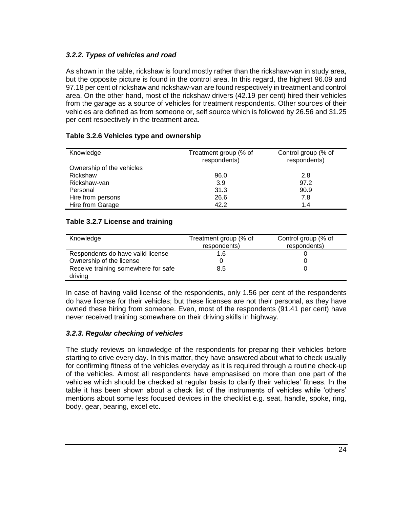# *3.2.2. Types of vehicles and road*

As shown in the table, rickshaw is found mostly rather than the rickshaw-van in study area, but the opposite picture is found in the control area. In this regard, the highest 96.09 and 97.18 per cent of rickshaw and rickshaw-van are found respectively in treatment and control area. On the other hand, most of the rickshaw drivers (42.19 per cent) hired their vehicles from the garage as a source of vehicles for treatment respondents. Other sources of their vehicles are defined as from someone or, self source which is followed by 26.56 and 31.25 per cent respectively in the treatment area.

# **Table 3.2.6 Vehicles type and ownership**

| Knowledge                 | Treatment group (% of<br>respondents) | Control group (% of<br>respondents) |
|---------------------------|---------------------------------------|-------------------------------------|
| Ownership of the vehicles |                                       |                                     |
| Rickshaw                  | 96.0                                  | 2.8                                 |
| Rickshaw-van              | 3.9                                   | 97.2                                |
| Personal                  | 31.3                                  | 90.9                                |
| Hire from persons         | 26.6                                  | 7.8                                 |
| Hire from Garage          | 42.2                                  | 1.4                                 |

### **Table 3.2.7 License and training**

| Knowledge                           | Treatment group (% of<br>respondents) | Control group (% of<br>respondents) |
|-------------------------------------|---------------------------------------|-------------------------------------|
| Respondents do have valid license   | 1.6                                   |                                     |
| Ownership of the license            |                                       |                                     |
| Receive training somewhere for safe | 8.5                                   |                                     |
| driving                             |                                       |                                     |

In case of having valid license of the respondents, only 1.56 per cent of the respondents do have license for their vehicles; but these licenses are not their personal, as they have owned these hiring from someone. Even, most of the respondents (91.41 per cent) have never received training somewhere on their driving skills in highway.

#### *3.2.3. Regular checking of vehicles*

The study reviews on knowledge of the respondents for preparing their vehicles before starting to drive every day. In this matter, they have answered about what to check usually for confirming fitness of the vehicles everyday as it is required through a routine check-up of the vehicles. Almost all respondents have emphasised on more than one part of the vehicles which should be checked at regular basis to clarify their vehicles' fitness. In the table it has been shown about a check list of the instruments of vehicles while 'others' mentions about some less focused devices in the checklist e.g. seat, handle, spoke, ring, body, gear, bearing, excel etc.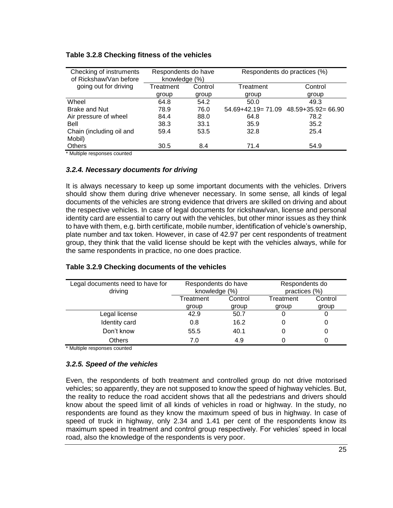| Checking of instruments<br>of Rickshaw/Van before | Respondents do have<br>knowledge (%) |         | Respondents do practices (%) |                    |
|---------------------------------------------------|--------------------------------------|---------|------------------------------|--------------------|
| going out for driving                             | Treatment                            | Control | Treatment                    | Control            |
|                                                   | group                                | group   | group                        | group              |
| Wheel                                             | 64.8                                 | 54.2    | 50.0                         | 49.3               |
| <b>Brake and Nut</b>                              | 78.9                                 | 76.0    | $54.69 + 42.19 = 71.09$      | 48.59+35.92= 66.90 |
| Air pressure of wheel                             | 84.4                                 | 88.0    | 64.8                         | 78.2               |
| Bell                                              | 38.3                                 | 33.1    | 35.9                         | 35.2               |
| Chain (including oil and                          | 59.4                                 | 53.5    | 32.8                         | 25.4               |
| Mobil)                                            |                                      |         |                              |                    |
| <b>Others</b>                                     | 30.5                                 | 8.4     | 71.4                         | 54.9               |

#### **Table 3.2.8 Checking fitness of the vehicles**

\* Multiple responses counted

#### *3.2.4. Necessary documents for driving*

It is always necessary to keep up some important documents with the vehicles. Drivers should show them during drive whenever necessary. In some sense, all kinds of legal documents of the vehicles are strong evidence that drivers are skilled on driving and about the respective vehicles. In case of legal documents for rickshaw/van, license and personal identity card are essential to carry out with the vehicles, but other minor issues as they think to have with them, e.g. birth certificate, mobile number, identification of vehicle's ownership, plate number and tax token. However, in case of 42.97 per cent respondents of treatment group, they think that the valid license should be kept with the vehicles always, while for the same respondents in practice, no one does practice.

| Table 3.2.9 Checking documents of the vehicles |  |  |
|------------------------------------------------|--|--|
|------------------------------------------------|--|--|

| Legal documents need to have for<br>driving | Respondents do have<br>knowledge (%) |       | Respondents do<br>practices (%) |         |
|---------------------------------------------|--------------------------------------|-------|---------------------------------|---------|
|                                             | Control<br>Treatment                 |       | Treatment                       | Control |
|                                             | group                                | group | group                           | group   |
| Legal license                               | 42.9                                 | 50.7  |                                 |         |
| Identity card                               | 0.8                                  | 16.2  | 0                               |         |
| Don't know                                  | 55.5                                 | 40.1  | 0                               |         |
| <b>Others</b>                               | 7.0                                  | 4.9   |                                 |         |

\* Multiple responses counted

#### *3.2.5. Speed of the vehicles*

Even, the respondents of both treatment and controlled group do not drive motorised vehicles; so apparently, they are not supposed to know the speed of highway vehicles. But, the reality to reduce the road accident shows that all the pedestrians and drivers should know about the speed limit of all kinds of vehicles in road or highway. In the study, no respondents are found as they know the maximum speed of bus in highway. In case of speed of truck in highway, only 2.34 and 1.41 per cent of the respondents know its maximum speed in treatment and control group respectively. For vehicles' speed in local road, also the knowledge of the respondents is very poor.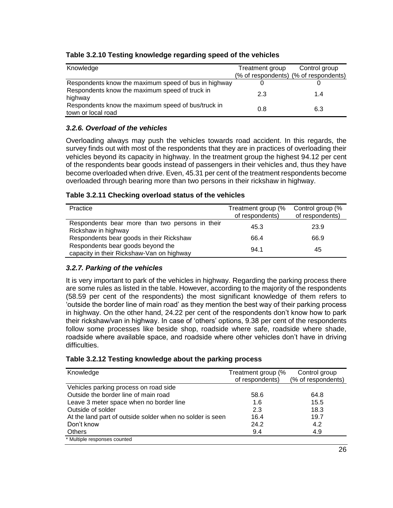| Knowledge                                                                | Treatment group | Control group                         |
|--------------------------------------------------------------------------|-----------------|---------------------------------------|
|                                                                          |                 | (% of respondents) (% of respondents) |
| Respondents know the maximum speed of bus in highway                     |                 |                                       |
| Respondents know the maximum speed of truck in<br>highway                | 2.3             | 1.4                                   |
| Respondents know the maximum speed of bus/truck in<br>town or local road | 0.8             | 6.3                                   |

# **Table 3.2.10 Testing knowledge regarding speed of the vehicles**

# *3.2.6. Overload of the vehicles*

Overloading always may push the vehicles towards road accident. In this regards, the survey finds out with most of the respondents that they are in practices of overloading their vehicles beyond its capacity in highway. In the treatment group the highest 94.12 per cent of the respondents bear goods instead of passengers in their vehicles and, thus they have become overloaded when drive. Even, 45.31 per cent of the treatment respondents become overloaded through bearing more than two persons in their rickshaw in highway.

#### **Table 3.2.11 Checking overload status of the vehicles**

| Practice                                        | Treatment group (% | Control group (% |
|-------------------------------------------------|--------------------|------------------|
|                                                 |                    |                  |
|                                                 | of respondents)    | of respondents)  |
| Respondents bear more than two persons in their |                    |                  |
|                                                 | 45.3               | 23.9             |
| Rickshaw in highway                             |                    |                  |
| Respondents bear goods in their Rickshaw        | 66.4               | 66.9             |
|                                                 |                    |                  |
| Respondents bear goods beyond the               |                    |                  |
|                                                 | 94.1               | 45               |
| capacity in their Rickshaw-Van on highway       |                    |                  |

# *3.2.7. Parking of the vehicles*

It is very important to park of the vehicles in highway. Regarding the parking process there are some rules as listed in the table. However, according to the majority of the respondents (58.59 per cent of the respondents) the most significant knowledge of them refers to 'outside the border line of main road' as they mention the best way of their parking process in highway. On the other hand, 24.22 per cent of the respondents don't know how to park their rickshaw/van in highway. In case of 'others' options, 9.38 per cent of the respondents follow some processes like beside shop, roadside where safe, roadside where shade, roadside where available space, and roadside where other vehicles don't have in driving difficulties.

| Table 3.2.12 Testing knowledge about the parking process |  |  |
|----------------------------------------------------------|--|--|
|----------------------------------------------------------|--|--|

| Knowledge                                                 | Treatment group (% | Control group      |
|-----------------------------------------------------------|--------------------|--------------------|
|                                                           | of respondents)    | (% of respondents) |
| Vehicles parking process on road side                     |                    |                    |
| Outside the border line of main road                      | 58.6               | 64.8               |
| Leave 3 meter space when no border line                   | 1.6                | 15.5               |
| Outside of solder                                         | 2.3                | 18.3               |
| At the land part of outside solder when no solder is seen | 16.4               | 19.7               |
| Don't know                                                | 24.2               | 4.2                |
| Others                                                    | 9.4                | 4.9                |
| * Multiple responses counted                              |                    |                    |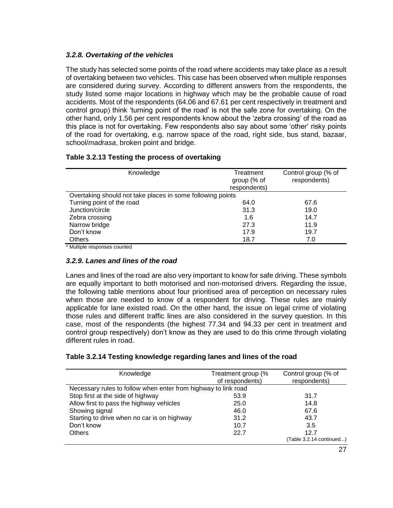### *3.2.8. Overtaking of the vehicles*

The study has selected some points of the road where accidents may take place as a result of overtaking between two vehicles. This case has been observed when multiple responses are considered during survey. According to different answers from the respondents, the study listed some major locations in highway which may be the probable cause of road accidents. Most of the respondents (64.06 and 67.61 per cent respectively in treatment and control group) think 'turning point of the road' is not the safe zone for overtaking. On the other hand, only 1.56 per cent respondents know about the 'zebra crossing' of the road as this place is not for overtaking. Few respondents also say about some 'other' risky points of the road for overtaking, e.g. narrow space of the road, right side, bus stand, bazaar, school/*madrasa*, broken point and bridge.

#### **Table 3.2.13 Testing the process of overtaking**

| Knowledge                                                  | Treatment<br>group (% of | Control group (% of<br>respondents) |
|------------------------------------------------------------|--------------------------|-------------------------------------|
|                                                            | respondents)             |                                     |
| Overtaking should not take places in some following points |                          |                                     |
| Turning point of the road                                  | 64.0                     | 67.6                                |
| Junction/circle                                            | 31.3                     | 19.0                                |
| Zebra crossing                                             | 1.6                      | 14.7                                |
| Narrow bridge                                              | 27.3                     | 11.9                                |
| Don't know                                                 | 17.9                     | 19.7                                |
| <b>Others</b>                                              | 18.7                     | 7.0                                 |

\* Multiple responses counted

#### *3.2.9. Lanes and lines of the road*

Lanes and lines of the road are also very important to know for safe driving. These symbols are equally important to both motorised and non-motorised drivers. Regarding the issue, the following table mentions about four prioritised area of perception on necessary rules when those are needed to know of a respondent for driving. These rules are mainly applicable for lane existed road. On the other hand, the issue on legal crime of violating those rules and different traffic lines are also considered in the survey question. In this case, most of the respondents (the highest 77.34 and 94.33 per cent in treatment and control group respectively) don't know as they are used to do this crime through violating different rules in road.

| Table 3.2.14 Testing knowledge regarding lanes and lines of the road |  |  |
|----------------------------------------------------------------------|--|--|
|                                                                      |  |  |

| Knowledge                                                      | Treatment group (%<br>of respondents) | Control group (% of<br>respondents) |
|----------------------------------------------------------------|---------------------------------------|-------------------------------------|
| Necessary rules to follow when enter from highway to link road |                                       |                                     |
| Stop first at the side of highway                              | 53.9                                  | 31.7                                |
| Allow first to pass the highway vehicles                       | 25.0                                  | 14.8                                |
| Showing signal                                                 | 46.0                                  | 67.6                                |
| Starting to drive when no car is on highway                    | 31.2                                  | 43.7                                |
| Don't know                                                     | 10.7                                  | 3.5                                 |
| <b>Others</b>                                                  | 22.7                                  | 12.7                                |
|                                                                |                                       | (Table 3.2.14 continued)            |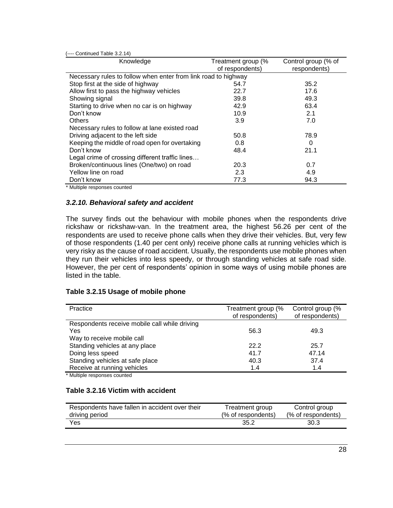| (---- Continued Table 3.2.14)                                  |                    |                     |
|----------------------------------------------------------------|--------------------|---------------------|
| Knowledge                                                      | Treatment group (% | Control group (% of |
|                                                                | of respondents)    | respondents)        |
| Necessary rules to follow when enter from link road to highway |                    |                     |
| Stop first at the side of highway                              | 54.7               | 35.2                |
| Allow first to pass the highway vehicles                       | 22.7               | 17.6                |
| Showing signal                                                 | 39.8               | 49.3                |
| Starting to drive when no car is on highway                    | 42.9               | 63.4                |
| Don't know                                                     | 10.9               | 2.1                 |
| <b>Others</b>                                                  | 3.9                | 7.0                 |
| Necessary rules to follow at lane existed road                 |                    |                     |
| Driving adjacent to the left side                              | 50.8               | 78.9                |
| Keeping the middle of road open for overtaking                 | 0.8                | 0                   |
| Don't know                                                     | 48.4               | 21.1                |
| Legal crime of crossing different traffic lines                |                    |                     |
| Broken/continuous lines (One/two) on road                      | 20.3               | 0.7                 |
| Yellow line on road                                            | 2.3                | 4.9                 |
| Don't know                                                     | 77.3               | 94.3                |

Multiple responses counted

#### *3.2.10. Behavioral safety and accident*

The survey finds out the behaviour with mobile phones when the respondents drive rickshaw or rickshaw-van. In the treatment area, the highest 56.26 per cent of the respondents are used to receive phone calls when they drive their vehicles. But, very few of those respondents (1.40 per cent only) receive phone calls at running vehicles which is very risky as the cause of road accident. Usually, the respondents use mobile phones when they run their vehicles into less speedy, or through standing vehicles at safe road side. However, the per cent of respondents' opinion in some ways of using mobile phones are listed in the table.

#### **Table 3.2.15 Usage of mobile phone**

| Practice                                      | Treatment group (%<br>of respondents) | Control group (%<br>of respondents) |
|-----------------------------------------------|---------------------------------------|-------------------------------------|
| Respondents receive mobile call while driving |                                       |                                     |
| Yes                                           | 56.3                                  | 49.3                                |
| Way to receive mobile call                    |                                       |                                     |
| Standing vehicles at any place                | 22.2                                  | 25.7                                |
| Doing less speed                              | 41.7                                  | 47.14                               |
| Standing vehicles at safe place               | 40.3                                  | 37.4                                |
| Receive at running vehicles                   | 1.4                                   | 1.4                                 |

\* Multiple responses counted

#### **Table 3.2.16 Victim with accident**

| Respondents have fallen in accident over their | Treatment group    | Control group      |
|------------------------------------------------|--------------------|--------------------|
| driving period                                 | (% of respondents) | (% of respondents) |
| Yes                                            | 35.2               | 30.3               |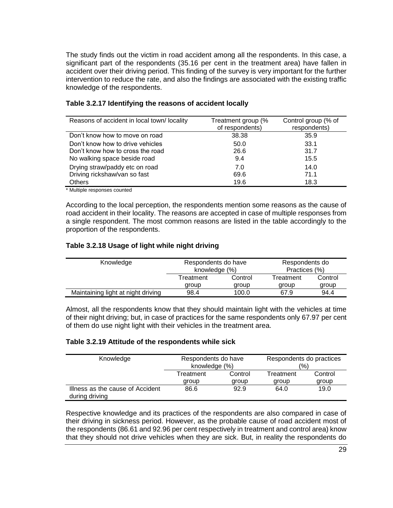The study finds out the victim in road accident among all the respondents. In this case, a significant part of the respondents (35.16 per cent in the treatment area) have fallen in accident over their driving period. This finding of the survey is very important for the further intervention to reduce the rate, and also the findings are associated with the existing traffic knowledge of the respondents.

| Reasons of accident in local town/locality | Treatment group (%<br>of respondents) | Control group (% of<br>respondents) |
|--------------------------------------------|---------------------------------------|-------------------------------------|
| Don't know how to move on road             | 38.38                                 | 35.9                                |
| Don't know how to drive vehicles           | 50.0                                  | 33.1                                |
| Don't know how to cross the road           | 26.6                                  | 31.7                                |
| No walking space beside road               | 9.4                                   | 15.5                                |
| Drying straw/paddy etc on road             | 7.0                                   | 14.0                                |
| Driving rickshaw/van so fast               | 69.6                                  | 71.1                                |
| <b>Others</b>                              | 19.6                                  | 18.3                                |

#### **Table 3.2.17 Identifying the reasons of accident locally**

\* Multiple responses counted

According to the local perception, the respondents mention some reasons as the cause of road accident in their locality. The reasons are accepted in case of multiple responses from a single respondent. The most common reasons are listed in the table accordingly to the proportion of the respondents.

#### **Table 3.2.18 Usage of light while night driving**

| Knowledge                          | Respondents do have<br>knowledge (%) |         | Respondents do<br>Practices (%) |         |
|------------------------------------|--------------------------------------|---------|---------------------------------|---------|
|                                    | Treatment                            | Control | Treatment                       | Control |
|                                    | group                                | aroup   | aroup                           | group   |
| Maintaining light at night driving | 98.4                                 | 100.0   | 67.9                            | 94.4    |

Almost, all the respondents know that they should maintain light with the vehicles at time of their night driving; but, in case of practices for the same respondents only 67.97 per cent of them do use night light with their vehicles in the treatment area.

#### **Table 3.2.19 Attitude of the respondents while sick**

| Knowledge                                          | Respondents do have<br>knowledge (%) |         | Respondents do practices<br>'%) |         |
|----------------------------------------------------|--------------------------------------|---------|---------------------------------|---------|
|                                                    | Treatment                            | Control | Treatment                       | Control |
|                                                    | group                                | aroup   | group                           | group   |
| Illness as the cause of Accident<br>during driving | 86.6                                 | 92.9    | 64.0                            | 19.0    |

Respective knowledge and its practices of the respondents are also compared in case of their driving in sickness period. However, as the probable cause of road accident most of the respondents (86.61 and 92.96 per cent respectively in treatment and control area) know that they should not drive vehicles when they are sick. But, in reality the respondents do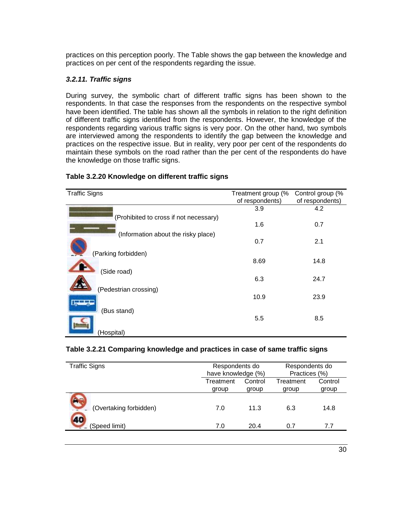practices on this perception poorly. The Table shows the gap between the knowledge and practices on per cent of the respondents regarding the issue.

#### *3.2.11. Traffic signs*

During survey, the symbolic chart of different traffic signs has been shown to the respondents. In that case the responses from the respondents on the respective symbol have been identified. The table has shown all the symbols in relation to the right definition of different traffic signs identified from the respondents. However, the knowledge of the respondents regarding various traffic signs is very poor. On the other hand, two symbols are interviewed among the respondents to identify the gap between the knowledge and practices on the respective issue. But in reality, very poor per cent of the respondents do maintain these symbols on the road rather than the per cent of the respondents do have the knowledge on those traffic signs.

| <b>Traffic Signs</b>                   | Treatment group (%<br>of respondents) | Control group (%<br>of respondents) |
|----------------------------------------|---------------------------------------|-------------------------------------|
| (Prohibited to cross if not necessary) | 3.9                                   | 4.2                                 |
|                                        | 1.6                                   | 0.7                                 |
| (Information about the risky place)    | 0.7                                   | 2.1                                 |
| (Parking forbidden)                    | 8.69                                  | 14.8                                |
| (Side road)                            |                                       |                                     |
| (Pedestrian crossing)                  | 6.3                                   | 24.7                                |
|                                        | 10.9                                  | 23.9                                |
| (Bus stand)                            | 5.5                                   | 8.5                                 |
| (Hospital)                             |                                       |                                     |

#### **Table 3.2.20 Knowledge on different traffic signs**

#### **Table 3.2.21 Comparing knowledge and practices in case of same traffic signs**

| <b>Traffic Signs</b>   | Respondents do<br>have knowledge (%) |         | Respondents do<br>Practices (%) |         |
|------------------------|--------------------------------------|---------|---------------------------------|---------|
|                        | Treatment                            | Control | Treatment                       | Control |
|                        | group                                | group   | group                           | group   |
| (Overtaking forbidden) | 7.0                                  | 11.3    | 6.3                             | 14.8    |
| (Speed limit)          | 7.0                                  | 20.4    | 0.7                             | 7.7     |
|                        |                                      |         |                                 |         |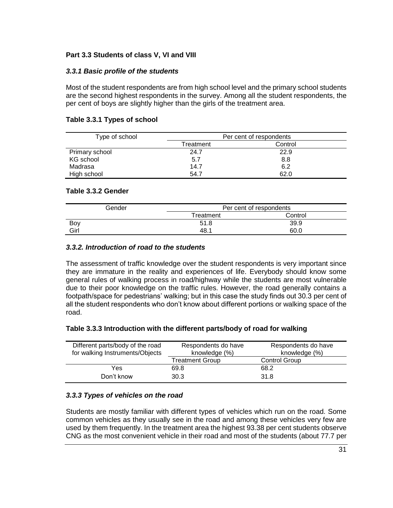### **Part 3.3 Students of class V, VI and VIII**

#### *3.3.1 Basic profile of the students*

Most of the student respondents are from high school level and the primary school students are the second highest respondents in the survey. Among all the student respondents, the per cent of boys are slightly higher than the girls of the treatment area.

#### **Table 3.3.1 Types of school**

| Type of school | Per cent of respondents |         |  |
|----------------|-------------------------|---------|--|
|                | Treatment               | Control |  |
| Primary school | 24.7                    | 22.9    |  |
| KG school      | 5.7                     | 8.8     |  |
| Madrasa        | 14.7                    | 6.2     |  |
| High school    | 54.7                    | 62.0    |  |

#### **Table 3.3.2 Gender**

| Gender | Per cent of respondents |         |
|--------|-------------------------|---------|
|        | Treatment               | Control |
| Boy    | 51.8                    | 39.9    |
| Girl   | 48.1                    | 60.C    |

#### *3.3.2. Introduction of road to the students*

The assessment of traffic knowledge over the student respondents is very important since they are immature in the reality and experiences of life. Everybody should know some general rules of walking process in road/highway while the students are most vulnerable due to their poor knowledge on the traffic rules. However, the road generally contains a footpath/space for pedestrians' walking; but in this case the study finds out 30.3 per cent of all the student respondents who don't know about different portions or walking space of the road.

#### **Table 3.3.3 Introduction with the different parts/body of road for walking**

| Different parts/body of the road<br>for walking Instruments/Objects | Respondents do have<br>knowledge (%) | Respondents do have<br>knowledge (%) |
|---------------------------------------------------------------------|--------------------------------------|--------------------------------------|
|                                                                     | Treatment Group                      | Control Group                        |
| Yes                                                                 | 69.8                                 | 68.2                                 |
| Don't know                                                          | 30.3                                 | 31.8                                 |

#### *3.3.3 Types of vehicles on the road*

Students are mostly familiar with different types of vehicles which run on the road. Some common vehicles as they usually see in the road and among these vehicles very few are used by them frequently. In the treatment area the highest 93.38 per cent students observe CNG as the most convenient vehicle in their road and most of the students (about 77.7 per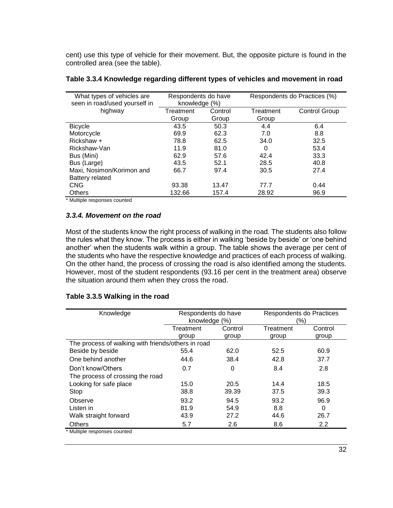cent) use this type of vehicle for their movement. But, the opposite picture is found in the controlled area (see the table).

| What types of vehicles are<br>seen in road/used yourself in | Respondents do have<br>knowledge (%) |         | Respondents do Practices (%) |               |
|-------------------------------------------------------------|--------------------------------------|---------|------------------------------|---------------|
| highway                                                     | Treatment                            | Control | Treatment                    | Control Group |
|                                                             | Group                                | Group   | Group                        |               |
| <b>Bicycle</b>                                              | 43.5                                 | 50.3    | 4.4                          | 6.4           |
| Motorcycle                                                  | 69.9                                 | 62.3    | 7.0                          | 8.8           |
| Rickshaw +                                                  | 78.8                                 | 62.5    | 34.0                         | 32.5          |
| Rickshaw-Van                                                | 11.9                                 | 81.0    | 0                            | 53.4          |
| Bus (Mini)                                                  | 62.9                                 | 57.6    | 42.4                         | 33.3          |
| Bus (Large)                                                 | 43.5                                 | 52.1    | 28.5                         | 40.8          |
| Maxi, Nosimon/Korimon and                                   | 66.7                                 | 97.4    | 30.5                         | 27.4          |
| <b>Battery related</b>                                      |                                      |         |                              |               |
| <b>CNG</b>                                                  | 93.38                                | 13.47   | 77.7                         | 0.44          |
| <b>Others</b>                                               | 132.66                               | 157.4   | 28.92                        | 96.9          |

| Table 3.3.4 Knowledge regarding different types of vehicles and movement in road |  |  |
|----------------------------------------------------------------------------------|--|--|
|                                                                                  |  |  |

\* Multiple responses counted

#### *3.3.4. Movement on the road*

Most of the students know the right process of walking in the road. The students also follow the rules what they know. The process is either in walking 'beside by beside' or 'one behind another' when the students walk within a group. The table shows the average per cent of the students who have the respective knowledge and practices of each process of walking. On the other hand, the process of crossing the road is also identified among the students. However, most of the student respondents (93.16 per cent in the treatment area) observe the situation around them when they cross the road.

#### **Table 3.3.5 Walking in the road**

| Knowledge                                          | Respondents do have<br>knowledge (%) |         | Respondents do Practices<br>$(\% )$ |         |
|----------------------------------------------------|--------------------------------------|---------|-------------------------------------|---------|
|                                                    | Treatment                            | Control | Treatment                           | Control |
|                                                    | group                                | group   | group                               | group   |
| The process of walking with friends/others in road |                                      |         |                                     |         |
| Beside by beside                                   | 55.4                                 | 62.0    | 52.5                                | 60.9    |
| One behind another                                 | 44.6                                 | 38.4    | 42.8                                | 37.7    |
| Don't know/Others                                  | 0.7                                  | 0       | 8.4                                 | 2.8     |
| The process of crossing the road                   |                                      |         |                                     |         |
| Looking for safe place                             | 15.0                                 | 20.5    | 14.4                                | 18.5    |
| Stop                                               | 38.8                                 | 39.39   | 37.5                                | 39.3    |
| Observe                                            | 93.2                                 | 94.5    | 93.2                                | 96.9    |
| Listen in                                          | 81.9                                 | 54.9    | 8.8                                 | 0       |
| Walk straight forward                              | 43.9                                 | 27.2    | 44.6                                | 26.7    |
| <b>Others</b>                                      | 5.7                                  | 2.6     | 8.6                                 | 2.2     |
| * Multiple responses counted                       |                                      |         |                                     |         |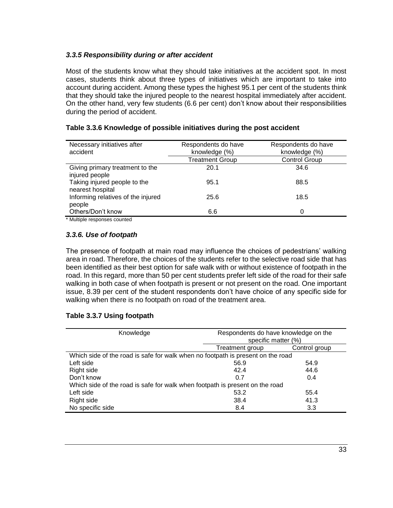### *3.3.5 Responsibility during or after accident*

Most of the students know what they should take initiatives at the accident spot. In most cases, students think about three types of initiatives which are important to take into account during accident. Among these types the highest 95.1 per cent of the students think that they should take the injured people to the nearest hospital immediately after accident. On the other hand, very few students (6.6 per cent) don't know about their responsibilities during the period of accident.

| Necessary initiatives after<br>accident           | Respondents do have<br>knowledge (%) | Respondents do have<br>knowledge (%) |
|---------------------------------------------------|--------------------------------------|--------------------------------------|
|                                                   | Treatment Group                      | <b>Control Group</b>                 |
| Giving primary treatment to the<br>injured people | 20.1                                 | 34.6                                 |
| Taking injured people to the<br>nearest hospital  | 95.1                                 | 88.5                                 |
| Informing relatives of the injured<br>people      | 25.6                                 | 18.5                                 |
| Others/Don't know                                 | 6.6                                  | 0                                    |
| * Multiple responses counted                      |                                      |                                      |

#### **Table 3.3.6 Knowledge of possible initiatives during the post accident**

wultiple responses counted

#### *3.3.6. Use of footpath*

The presence of footpath at main road may influence the choices of pedestrians' walking area in road. Therefore, the choices of the students refer to the selective road side that has been identified as their best option for safe walk with or without existence of footpath in the road. In this regard, more than 50 per cent students prefer left side of the road for their safe walking in both case of when footpath is present or not present on the road. One important issue, 8.39 per cent of the student respondents don't have choice of any specific side for walking when there is no footpath on road of the treatment area.

#### **Table 3.3.7 Using footpath**

| Knowledge                                                                       | Respondents do have knowledge on the |               |  |
|---------------------------------------------------------------------------------|--------------------------------------|---------------|--|
|                                                                                 | specific matter (%)                  |               |  |
|                                                                                 | Treatment group                      | Control group |  |
| Which side of the road is safe for walk when no footpath is present on the road |                                      |               |  |
| Left side                                                                       | 56.9                                 | 54.9          |  |
| Right side                                                                      | 42.4                                 | 44.6          |  |
| Don't know                                                                      | 0.7                                  | 0.4           |  |
| Which side of the road is safe for walk when footpath is present on the road    |                                      |               |  |
| Left side                                                                       | 53.2                                 | 55.4          |  |
| Right side                                                                      | 38.4                                 | 41.3          |  |
| No specific side                                                                | 8.4                                  | 3.3           |  |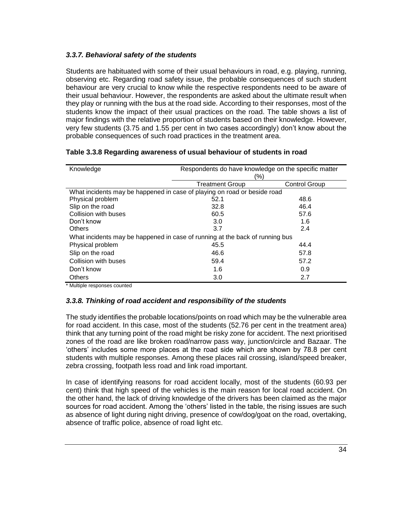# *3.3.7. Behavioral safety of the students*

Students are habituated with some of their usual behaviours in road, e.g. playing, running, observing etc. Regarding road safety issue, the probable consequences of such student behaviour are very crucial to know while the respective respondents need to be aware of their usual behaviour. However, the respondents are asked about the ultimate result when they play or running with the bus at the road side. According to their responses, most of the students know the impact of their usual practices on the road. The table shows a list of major findings with the relative proportion of students based on their knowledge. However, very few students (3.75 and 1.55 per cent in two cases accordingly) don't know about the probable consequences of such road practices in the treatment area.

| Knowledge                                                                    | Respondents do have knowledge on the specific matter<br>(%) |               |  |
|------------------------------------------------------------------------------|-------------------------------------------------------------|---------------|--|
|                                                                              | <b>Treatment Group</b>                                      | Control Group |  |
| What incidents may be happened in case of playing on road or beside road     |                                                             |               |  |
| Physical problem                                                             | 52.1                                                        | 48.6          |  |
| Slip on the road                                                             | 32.8                                                        | 46.4          |  |
| Collision with buses                                                         | 60.5                                                        | 57.6          |  |
| Don't know                                                                   | 3.0                                                         | 1.6           |  |
| <b>Others</b>                                                                | 3.7                                                         | 2.4           |  |
| What incidents may be happened in case of running at the back of running bus |                                                             |               |  |
| Physical problem                                                             | 45.5                                                        | 44.4          |  |
| Slip on the road                                                             | 46.6                                                        | 57.8          |  |
| Collision with buses                                                         | 59.4                                                        | 57.2          |  |
| Don't know                                                                   | 1.6                                                         | 0.9           |  |
| <b>Others</b>                                                                | 3.0                                                         | 2.7           |  |

### **Table 3.3.8 Regarding awareness of usual behaviour of students in road**

\* Multiple responses counted

#### *3.3.8. Thinking of road accident and responsibility of the students*

The study identifies the probable locations/points on road which may be the vulnerable area for road accident. In this case, most of the students (52.76 per cent in the treatment area) think that any turning point of the road might be risky zone for accident. The next prioritised zones of the road are like broken road/narrow pass way, junction/circle and Bazaar. The 'others' includes some more places at the road side which are shown by 78.8 per cent students with multiple responses. Among these places rail crossing, island/speed breaker, zebra crossing, footpath less road and link road important.

In case of identifying reasons for road accident locally, most of the students (60.93 per cent) think that high speed of the vehicles is the main reason for local road accident. On the other hand, the lack of driving knowledge of the drivers has been claimed as the major sources for road accident. Among the 'others' listed in the table, the rising issues are such as absence of light during night driving, presence of cow/dog/goat on the road, overtaking, absence of traffic police, absence of road light etc.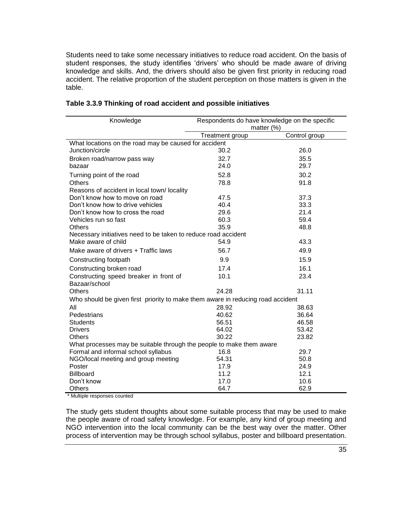Students need to take some necessary initiatives to reduce road accident. On the basis of student responses, the study identifies 'drivers' who should be made aware of driving knowledge and skills. And, the drivers should also be given first priority in reducing road accident. The relative proportion of the student perception on those matters is given in the table.

| Knowledge                                                                       | Respondents do have knowledge on the specific |               |  |
|---------------------------------------------------------------------------------|-----------------------------------------------|---------------|--|
|                                                                                 | matter $(\%)$                                 |               |  |
|                                                                                 | Treatment group                               | Control group |  |
| What locations on the road may be caused for accident                           |                                               |               |  |
| Junction/circle                                                                 | 30.2                                          | 26.0          |  |
| Broken road/narrow pass way                                                     | 32.7                                          | 35.5          |  |
| bazaar                                                                          | 24.0                                          | 29.7          |  |
| Turning point of the road                                                       | 52.8                                          | 30.2          |  |
| <b>Others</b>                                                                   | 78.8                                          | 91.8          |  |
| Reasons of accident in local town/locality                                      |                                               |               |  |
| Don't know how to move on road                                                  | 47.5                                          | 37.3          |  |
| Don't know how to drive vehicles                                                | 40.4                                          | 33.3          |  |
| Don't know how to cross the road                                                | 29.6                                          | 21.4          |  |
| Vehicles run so fast                                                            | 60.3                                          | 59.4          |  |
| <b>Others</b>                                                                   | 35.9                                          | 48.8          |  |
| Necessary initiatives need to be taken to reduce road accident                  |                                               |               |  |
| Make aware of child                                                             | 54.9                                          | 43.3          |  |
| Make aware of drivers + Traffic laws                                            | 56.7                                          | 49.9          |  |
| Constructing footpath                                                           | 9.9                                           | 15.9          |  |
| Constructing broken road                                                        | 17.4                                          | 16.1          |  |
| Constructing speed breaker in front of                                          | 10.1                                          | 23.4          |  |
| Bazaar/school                                                                   |                                               |               |  |
| <b>Others</b>                                                                   | 24.28                                         | 31.11         |  |
| Who should be given first priority to make them aware in reducing road accident |                                               |               |  |
| All                                                                             | 28.92                                         | 38.63         |  |
| Pedestrians                                                                     | 40.62                                         | 36.64         |  |
| <b>Students</b>                                                                 | 56.51                                         | 46.58         |  |
| <b>Drivers</b>                                                                  | 64.02                                         | 53.42         |  |
| <b>Others</b>                                                                   | 30.22                                         | 23.82         |  |
| What processes may be suitable through the people to make them aware            |                                               |               |  |
| Formal and informal school syllabus                                             | 16.8                                          | 29.7          |  |
| NGO/local meeting and group meeting                                             | 54.31                                         | 50.8          |  |
| Poster                                                                          | 17.9                                          | 24.9          |  |
| <b>Billboard</b>                                                                | 11.2                                          | 12.1          |  |
| Don't know                                                                      | 17.0                                          | 10.6          |  |
| Others                                                                          | 64.7                                          | 62.9          |  |

#### **Table 3.3.9 Thinking of road accident and possible initiatives**

\* Multiple responses counted

The study gets student thoughts about some suitable process that may be used to make the people aware of road safety knowledge. For example, any kind of group meeting and NGO intervention into the local community can be the best way over the matter. Other process of intervention may be through school syllabus, poster and billboard presentation.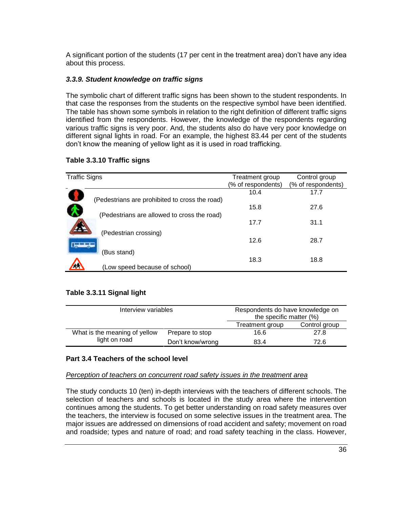A significant portion of the students (17 per cent in the treatment area) don't have any idea about this process.

### *3.3.9. Student knowledge on traffic signs*

The symbolic chart of different traffic signs has been shown to the student respondents. In that case the responses from the students on the respective symbol have been identified. The table has shown some symbols in relation to the right definition of different traffic signs identified from the respondents. However, the knowledge of the respondents regarding various traffic signs is very poor. And, the students also do have very poor knowledge on different signal lights in road. For an example, the highest 83.44 per cent of the students don't know the meaning of yellow light as it is used in road trafficking.

| <b>Traffic Signs</b>                           | Treatment group    | Control group      |
|------------------------------------------------|--------------------|--------------------|
|                                                | (% of respondents) | (% of respondents) |
|                                                |                    |                    |
|                                                | 10.4               | 17.7               |
| (Pedestrians are prohibited to cross the road) |                    |                    |
|                                                | 15.8               | 27.6               |
|                                                |                    |                    |
| (Pedestrians are allowed to cross the road)    |                    |                    |
|                                                | 17.7               | 31.1               |
|                                                |                    |                    |
| (Pedestrian crossing)                          |                    |                    |
|                                                | 12.6               | 28.7               |
|                                                |                    |                    |
| (Bus stand)                                    |                    |                    |
|                                                | 18.3               | 18.8               |
|                                                |                    |                    |
| (Low speed because of school)                  |                    |                    |

#### **Table 3.3.10 Traffic signs**

#### **Table 3.3.11 Signal light**

| Interview variables                              |                  | Respondents do have knowledge on<br>the specific matter (%) |               |
|--------------------------------------------------|------------------|-------------------------------------------------------------|---------------|
|                                                  |                  | Treatment group                                             | Control group |
| What is the meaning of yellow<br>Prepare to stop |                  | 16.6                                                        | 27.8          |
| light on road                                    | Don't know/wrong | 83.4                                                        | 72.6          |

#### **Part 3.4 Teachers of the school level**

#### *Perception of teachers on concurrent road safety issues in the treatment area*

The study conducts 10 (ten) in-depth interviews with the teachers of different schools. The selection of teachers and schools is located in the study area where the intervention continues among the students. To get better understanding on road safety measures over the teachers, the interview is focused on some selective issues in the treatment area. The major issues are addressed on dimensions of road accident and safety; movement on road and roadside; types and nature of road; and road safety teaching in the class. However,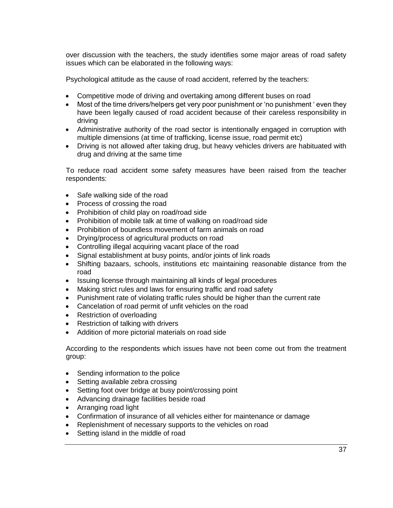over discussion with the teachers, the study identifies some major areas of road safety issues which can be elaborated in the following ways:

Psychological attitude as the cause of road accident, referred by the teachers:

- Competitive mode of driving and overtaking among different buses on road
- Most of the time drivers/helpers get very poor punishment or 'no punishment ' even they have been legally caused of road accident because of their careless responsibility in driving
- Administrative authority of the road sector is intentionally engaged in corruption with multiple dimensions (at time of trafficking, license issue, road permit etc)
- Driving is not allowed after taking drug, but heavy vehicles drivers are habituated with drug and driving at the same time

To reduce road accident some safety measures have been raised from the teacher respondents:

- Safe walking side of the road
- Process of crossing the road
- Prohibition of child play on road/road side
- Prohibition of mobile talk at time of walking on road/road side
- Prohibition of boundless movement of farm animals on road
- Drying/process of agricultural products on road
- Controlling illegal acquiring vacant place of the road
- Signal establishment at busy points, and/or joints of link roads
- Shifting bazaars, schools, institutions etc maintaining reasonable distance from the road
- Issuing license through maintaining all kinds of legal procedures
- Making strict rules and laws for ensuring traffic and road safety
- Punishment rate of violating traffic rules should be higher than the current rate
- Cancelation of road permit of unfit vehicles on the road
- Restriction of overloading
- Restriction of talking with drivers
- Addition of more pictorial materials on road side

According to the respondents which issues have not been come out from the treatment group:

- Sending information to the police
- Setting available zebra crossing
- Setting foot over bridge at busy point/crossing point
- Advancing drainage facilities beside road
- Arranging road light
- Confirmation of insurance of all vehicles either for maintenance or damage
- Replenishment of necessary supports to the vehicles on road
- Setting island in the middle of road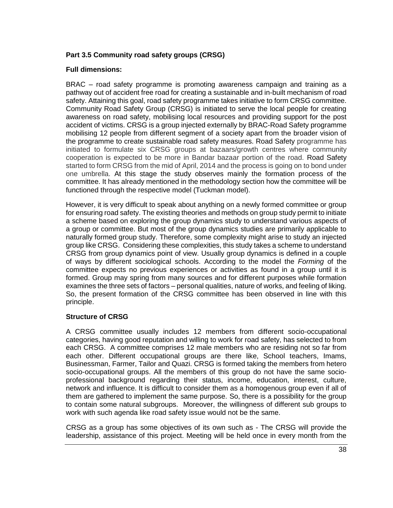### **Part 3.5 Community road safety groups (CRSG)**

#### **Full dimensions:**

BRAC – road safety programme is promoting awareness campaign and training as a pathway out of accident free road for creating a sustainable and in-built mechanism of road safety. Attaining this goal, road safety programme takes initiative to form CRSG committee. Community Road Safety Group (CRSG) is initiated to serve the local people for creating awareness on road safety, mobilising local resources and providing support for the post accident of victims. CRSG is a group injected externally by BRAC-Road Safety programme mobilising 12 people from different segment of a society apart from the broader vision of the programme to create sustainable road safety measures. Road Safety programme has initiated to formulate six CRSG groups at bazaars/growth centres where community cooperation is expected to be more in Bandar bazaar portion of the road. Road Safety started to form CRSG from the mid of April, 2014 and the process is going on to bond under one umbrella. At this stage the study observes mainly the formation process of the committee. It has already mentioned in the methodology section how the committee will be functioned through the respective model (Tuckman model).

However, it is very difficult to speak about anything on a newly formed committee or group for ensuring road safety. The existing theories and methods on group study permit to initiate a scheme based on exploring the group dynamics study to understand various aspects of a group or committee. But most of the group dynamics studies are primarily applicable to naturally formed group study. Therefore, some complexity might arise to study an injected group like CRSG. Considering these complexities, this study takes a scheme to understand CRSG from group dynamics point of view. Usually group dynamics is defined in a couple of ways by different sociological schools. According to the model the *Forming* of the committee expects no previous experiences or activities as found in a group until it is formed. Group may spring from many sources and for different purposes while formation examines the three sets of factors – personal qualities, nature of works, and feeling of liking. So, the present formation of the CRSG committee has been observed in line with this principle.

#### **Structure of CRSG**

A CRSG committee usually includes 12 members from different socio-occupational categories, having good reputation and willing to work for road safety, has selected to from each CRSG. A committee comprises 12 male members who are residing not so far from each other. Different occupational groups are there like, School teachers, Imams, Businessman, Farmer, Tailor and Quazi. CRSG is formed taking the members from hetero socio-occupational groups. All the members of this group do not have the same socioprofessional background regarding their status, income, education, interest, culture, network and influence. It is difficult to consider them as a homogenous group even if all of them are gathered to implement the same purpose. So, there is a possibility for the group to contain some natural subgroups. Moreover, the willingness of different sub groups to work with such agenda like road safety issue would not be the same.

CRSG as a group has some objectives of its own such as - The CRSG will provide the leadership, assistance of this project. Meeting will be held once in every month from the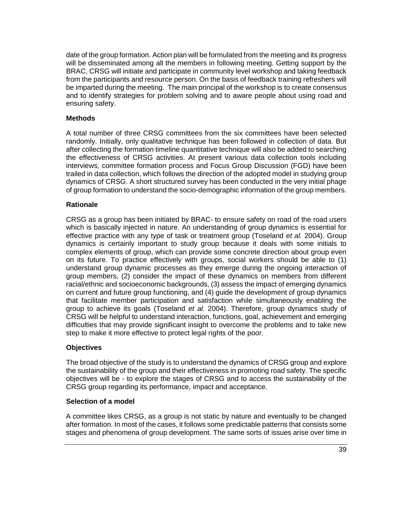date of the group formation. Action plan will be formulated from the meeting and its progress will be disseminated among all the members in following meeting. Getting support by the BRAC, CRSG will initiate and participate in community level workshop and taking feedback from the participants and resource person. On the basis of feedback training refreshers will be imparted during the meeting. The main principal of the workshop is to create consensus and to identify strategies for problem solving and to aware people about using road and ensuring safety.

#### **Methods**

A total number of three CRSG committees from the six committees have been selected randomly. Initially, only qualitative technique has been followed in collection of data. But after collecting the formation timeline quantitative technique will also be added to searching the effectiveness of CRSG activities. At present various data collection tools including interviews, committee formation process and Focus Group Discussion (FGD) have been trailed in data collection, which follows the direction of the adopted model in studying group dynamics of CRSG. A short structured survey has been conducted in the very initial phage of group formation to understand the socio-demographic information of the group members.

### **Rationale**

CRSG as a group has been initiated by BRAC- to ensure safety on road of the road users which is basically injected in nature. An understanding of group dynamics is essential for effective practice with any type of task or treatment group (Toseland *et al.* 2004). Group dynamics is certainly important to study group because it deals with some initials to complex elements of group, which can provide some concrete direction about group even on its future. To practice effectively with groups, social workers should be able to (1) understand group dynamic processes as they emerge during the ongoing interaction of group members, (2) consider the impact of these dynamics on members from different racial/ethnic and socioeconomic backgrounds, (3) assess the impact of emerging dynamics on current and future group functioning, and (4) guide the development of group dynamics that facilitate member participation and satisfaction while simultaneously enabling the group to achieve its goals (Toseland *et al.* 2004). Therefore, group dynamics study of CRSG will be helpful to understand interaction, functions, goal, achievement and emerging difficulties that may provide significant insight to overcome the problems and to take new step to make it more effective to protect legal rights of the poor.

# **Objectives**

The broad objective of the study is to understand the dynamics of CRSG group and explore the sustainability of the group and their effectiveness in promoting road safety. The specific objectives will be - to explore the stages of CRSG and to access the sustainability of the CRSG group regarding its performance, impact and acceptance.

#### **Selection of a model**

A committee likes CRSG, as a group is not static by nature and eventually to be changed after formation. In most of the cases, it follows some predictable patterns that consists some stages and phenomena of group development. The same sorts of issues arise over time in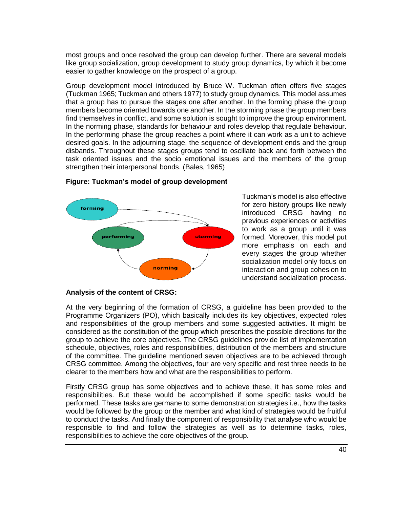most groups and once resolved the group can develop further. There are several models like group socialization, group development to study group dynamics, by which it become easier to gather knowledge on the prospect of a group.

Group development model introduced by Bruce W. Tuckman often offers five stages (Tuckman 1965; Tuckman and others 1977) to study group dynamics. This model assumes that a group has to pursue the stages one after another. In the forming phase the group members become oriented towards one another. In the storming phase the group members find themselves in conflict, and some solution is sought to improve the group environment. In the norming phase, standards for behaviour and roles develop that regulate behaviour. In the performing phase the group reaches a point where it can work as a unit to achieve desired goals. In the adjourning stage, the sequence of development ends and the group disbands. Throughout these stages groups tend to oscillate back and forth between the task oriented issues and the socio emotional issues and the members of the group strengthen their interpersonal bonds. (Bales, 1965)





Tuckman's model is also effective for zero history groups like newly introduced CRSG having no previous experiences or activities to work as a group until it was formed. Moreover, this model put more emphasis on each and every stages the group whether socialization model only focus on interaction and group cohesion to understand socialization process.

#### **Analysis of the content of CRSG:**

At the very beginning of the formation of CRSG, a guideline has been provided to the Programme Organizers (PO), which basically includes its key objectives, expected roles and responsibilities of the group members and some suggested activities. It might be considered as the constitution of the group which prescribes the possible directions for the group to achieve the core objectives. The CRSG guidelines provide list of implementation schedule, objectives, roles and responsibilities, distribution of the members and structure of the committee. The guideline mentioned seven objectives are to be achieved through CRSG committee. Among the objectives, four are very specific and rest three needs to be clearer to the members how and what are the responsibilities to perform.

Firstly CRSG group has some objectives and to achieve these, it has some roles and responsibilities. But these would be accomplished if some specific tasks would be performed. These tasks are germane to some demonstration strategies i.e., how the tasks would be followed by the group or the member and what kind of strategies would be fruitful to conduct the tasks. And finally the component of responsibility that analyse who would be responsible to find and follow the strategies as well as to determine tasks, roles, responsibilities to achieve the core objectives of the group.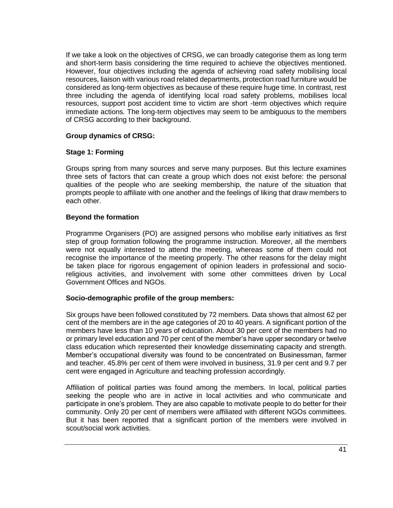If we take a look on the objectives of CRSG, we can broadly categorise them as long term and short-term basis considering the time required to achieve the objectives mentioned. However, four objectives including the agenda of achieving road safety mobilising local resources, liaison with various road related departments, protection road furniture would be considered as long-term objectives as because of these require huge time. In contrast, rest three including the agenda of identifying local road safety problems, mobilises local resources, support post accident time to victim are short -term objectives which require immediate actions. The long-term objectives may seem to be ambiguous to the members of CRSG according to their background.

#### **Group dynamics of CRSG:**

#### **Stage 1: Forming**

Groups spring from many sources and serve many purposes. But this lecture examines three sets of factors that can create a group which does not exist before: the personal qualities of the people who are seeking membership, the nature of the situation that prompts people to affiliate with one another and the feelings of liking that draw members to each other.

#### **Beyond the formation**

Programme Organisers (PO) are assigned persons who mobilise early initiatives as first step of group formation following the programme instruction. Moreover, all the members were not equally interested to attend the meeting, whereas some of them could not recognise the importance of the meeting properly. The other reasons for the delay might be taken place for rigorous engagement of opinion leaders in professional and socioreligious activities, and involvement with some other committees driven by Local Government Offices and NGOs.

#### **Socio-demographic profile of the group members:**

Six groups have been followed constituted by 72 members. Data shows that almost 62 per cent of the members are in the age categories of 20 to 40 years. A significant portion of the members have less than 10 years of education. About 30 per cent of the members had no or primary level education and 70 per cent of the member's have upper secondary or twelve class education which represented their knowledge disseminating capacity and strength. Member's occupational diversity was found to be concentrated on Businessman, farmer and teacher. 45.8% per cent of them were involved in business, 31.9 per cent and 9.7 per cent were engaged in Agriculture and teaching profession accordingly.

Affiliation of political parties was found among the members. In local, political parties seeking the people who are in active in local activities and who communicate and participate in one's problem. They are also capable to motivate people to do better for their community. Only 20 per cent of members were affiliated with different NGOs committees. But it has been reported that a significant portion of the members were involved in scout/social work activities.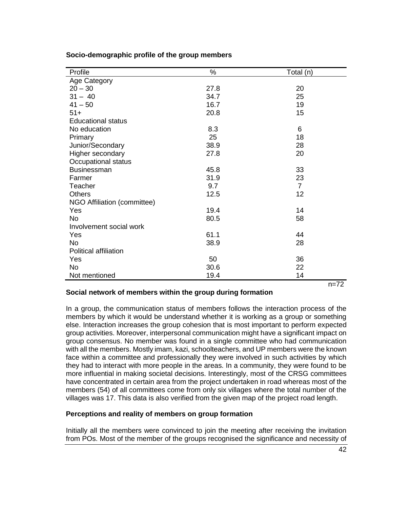| Profile                     | $\%$ | Total (n)      |
|-----------------------------|------|----------------|
| Age Category                |      |                |
| $20 - 30$                   | 27.8 | 20             |
| $31 - 40$                   | 34.7 | 25             |
| $41 - 50$                   | 16.7 | 19             |
| $51+$                       | 20.8 | 15             |
| <b>Educational status</b>   |      |                |
| No education                | 8.3  | 6              |
| Primary                     | 25   | 18             |
| Junior/Secondary            | 38.9 | 28             |
| Higher secondary            | 27.8 | 20             |
| Occupational status         |      |                |
| Businessman                 | 45.8 | 33             |
| Farmer                      | 31.9 | 23             |
| Teacher                     | 9.7  | $\overline{7}$ |
| <b>Others</b>               | 12.5 | 12             |
| NGO Affiliation (committee) |      |                |
| Yes                         | 19.4 | 14             |
| <b>No</b>                   | 80.5 | 58             |
| Involvement social work     |      |                |
| Yes                         | 61.1 | 44             |
| <b>No</b>                   | 38.9 | 28             |
| Political affiliation       |      |                |
| Yes                         | 50   | 36             |
| <b>No</b>                   | 30.6 | 22             |
| Not mentioned               | 19.4 | 14             |
|                             |      | $n=72$         |

**Socio-demographic profile of the group members**

#### **Social network of members within the group during formation**

In a group, the communication status of members follows the interaction process of the members by which it would be understand whether it is working as a group or something else. Interaction increases the group cohesion that is most important to perform expected group activities. Moreover, interpersonal communication might have a significant impact on group consensus. No member was found in a single committee who had communication with all the members. Mostly imam, kazi, schoolteachers, and UP members were the known face within a committee and professionally they were involved in such activities by which they had to interact with more people in the areas. In a community, they were found to be more influential in making societal decisions. Interestingly, most of the CRSG committees have concentrated in certain area from the project undertaken in road whereas most of the members (54) of all committees come from only six villages where the total number of the villages was 17. This data is also verified from the given map of the project road length.

#### **Perceptions and reality of members on group formation**

Initially all the members were convinced to join the meeting after receiving the invitation from POs. Most of the member of the groups recognised the significance and necessity of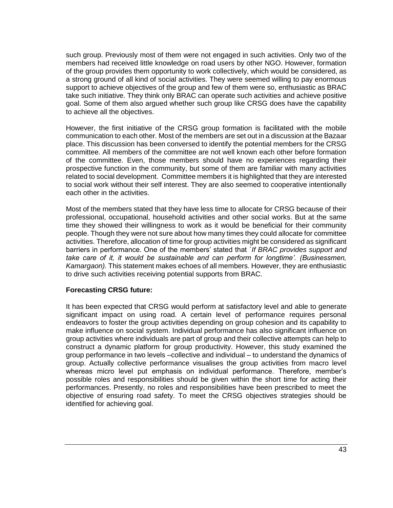such group. Previously most of them were not engaged in such activities. Only two of the members had received little knowledge on road users by other NGO. However, formation of the group provides them opportunity to work collectively, which would be considered, as a strong ground of all kind of social activities. They were seemed willing to pay enormous support to achieve objectives of the group and few of them were so, enthusiastic as BRAC take such initiative. They think only BRAC can operate such activities and achieve positive goal. Some of them also argued whether such group like CRSG does have the capability to achieve all the objectives.

However, the first initiative of the CRSG group formation is facilitated with the mobile communication to each other. Most of the members are set out in a discussion at the Bazaar place. This discussion has been conversed to identify the potential members for the CRSG committee. All members of the committee are not well known each other before formation of the committee. Even, those members should have no experiences regarding their prospective function in the community, but some of them are familiar with many activities related to social development. Committee members it is highlighted that they are interested to social work without their self interest. They are also seemed to cooperative intentionally each other in the activities.

Most of the members stated that they have less time to allocate for CRSG because of their professional, occupational, household activities and other social works. But at the same time they showed their willingness to work as it would be beneficial for their community people. Though they were not sure about how many times they could allocate for committee activities. Therefore, allocation of time for group activities might be considered as significant barriers in performance. One of the members' stated that *`If BRAC provides support and take care of it, it would be sustainable and can perform for longtime'. (Businessmen, Kamargaon).* This statement makes echoes of all members. However, they are enthusiastic to drive such activities receiving potential supports from BRAC.

#### **Forecasting CRSG future:**

It has been expected that CRSG would perform at satisfactory level and able to generate significant impact on using road. A certain level of performance requires personal endeavors to foster the group activities depending on group cohesion and its capability to make influence on social system. Individual performance has also significant influence on group activities where individuals are part of group and their collective attempts can help to construct a dynamic platform for group productivity. However, this study examined the group performance in two levels –collective and individual – to understand the dynamics of group. Actually collective performance visualises the group activities from macro level whereas micro level put emphasis on individual performance. Therefore, member's possible roles and responsibilities should be given within the short time for acting their performances. Presently, no roles and responsibilities have been prescribed to meet the objective of ensuring road safety. To meet the CRSG objectives strategies should be identified for achieving goal.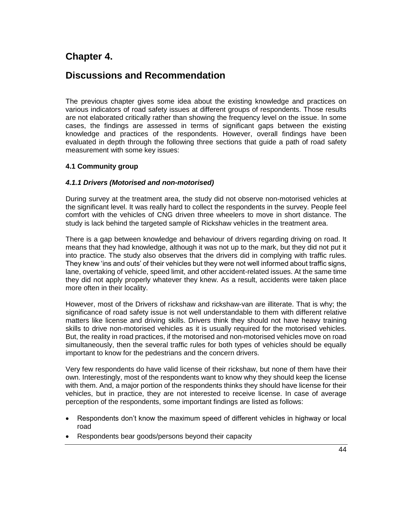# **Chapter 4.**

# **Discussions and Recommendation**

The previous chapter gives some idea about the existing knowledge and practices on various indicators of road safety issues at different groups of respondents. Those results are not elaborated critically rather than showing the frequency level on the issue. In some cases, the findings are assessed in terms of significant gaps between the existing knowledge and practices of the respondents. However, overall findings have been evaluated in depth through the following three sections that guide a path of road safety measurement with some key issues:

### **4.1 Community group**

#### *4.1.1 Drivers (Motorised and non-motorised)*

During survey at the treatment area, the study did not observe non-motorised vehicles at the significant level. It was really hard to collect the respondents in the survey. People feel comfort with the vehicles of CNG driven three wheelers to move in short distance. The study is lack behind the targeted sample of Rickshaw vehicles in the treatment area.

There is a gap between knowledge and behaviour of drivers regarding driving on road. It means that they had knowledge, although it was not up to the mark, but they did not put it into practice. The study also observes that the drivers did in complying with traffic rules. They knew 'ins and outs' of their vehicles but they were not well informed about traffic signs, lane, overtaking of vehicle, speed limit, and other accident-related issues. At the same time they did not apply properly whatever they knew. As a result, accidents were taken place more often in their locality.

However, most of the Drivers of rickshaw and rickshaw-van are illiterate. That is why; the significance of road safety issue is not well understandable to them with different relative matters like license and driving skills. Drivers think they should not have heavy training skills to drive non-motorised vehicles as it is usually required for the motorised vehicles. But, the reality in road practices, if the motorised and non-motorised vehicles move on road simultaneously, then the several traffic rules for both types of vehicles should be equally important to know for the pedestrians and the concern drivers.

Very few respondents do have valid license of their rickshaw, but none of them have their own. Interestingly, most of the respondents want to know why they should keep the license with them. And, a major portion of the respondents thinks they should have license for their vehicles, but in practice, they are not interested to receive license. In case of average perception of the respondents, some important findings are listed as follows:

- Respondents don't know the maximum speed of different vehicles in highway or local road
- Respondents bear goods/persons beyond their capacity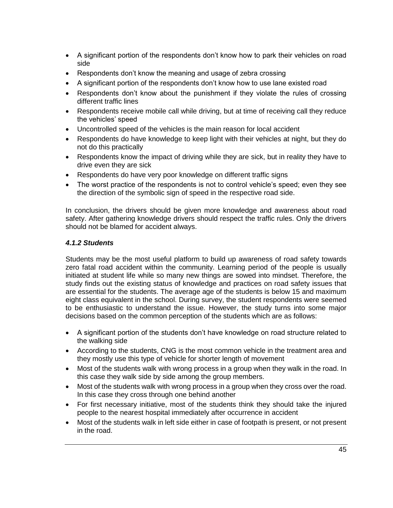- A significant portion of the respondents don't know how to park their vehicles on road side
- Respondents don't know the meaning and usage of zebra crossing
- A significant portion of the respondents don't know how to use lane existed road
- Respondents don't know about the punishment if they violate the rules of crossing different traffic lines
- Respondents receive mobile call while driving, but at time of receiving call they reduce the vehicles' speed
- Uncontrolled speed of the vehicles is the main reason for local accident
- Respondents do have knowledge to keep light with their vehicles at night, but they do not do this practically
- Respondents know the impact of driving while they are sick, but in reality they have to drive even they are sick
- Respondents do have very poor knowledge on different traffic signs
- The worst practice of the respondents is not to control vehicle's speed; even they see the direction of the symbolic sign of speed in the respective road side.

In conclusion, the drivers should be given more knowledge and awareness about road safety. After gathering knowledge drivers should respect the traffic rules. Only the drivers should not be blamed for accident always.

# *4.1.2 Students*

Students may be the most useful platform to build up awareness of road safety towards zero fatal road accident within the community. Learning period of the people is usually initiated at student life while so many new things are sowed into mindset. Therefore, the study finds out the existing status of knowledge and practices on road safety issues that are essential for the students. The average age of the students is below 15 and maximum eight class equivalent in the school. During survey, the student respondents were seemed to be enthusiastic to understand the issue. However, the study turns into some major decisions based on the common perception of the students which are as follows:

- A significant portion of the students don't have knowledge on road structure related to the walking side
- According to the students, CNG is the most common vehicle in the treatment area and they mostly use this type of vehicle for shorter length of movement
- Most of the students walk with wrong process in a group when they walk in the road. In this case they walk side by side among the group members.
- Most of the students walk with wrong process in a group when they cross over the road. In this case they cross through one behind another
- For first necessary initiative, most of the students think they should take the injured people to the nearest hospital immediately after occurrence in accident
- Most of the students walk in left side either in case of footpath is present, or not present in the road.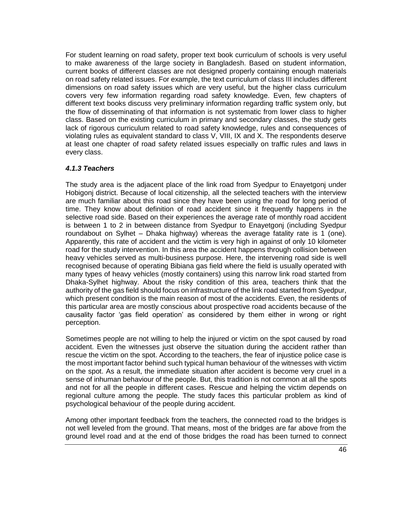For student learning on road safety, proper text book curriculum of schools is very useful to make awareness of the large society in Bangladesh. Based on student information, current books of different classes are not designed properly containing enough materials on road safety related issues. For example, the text curriculum of class III includes different dimensions on road safety issues which are very useful, but the higher class curriculum covers very few information regarding road safety knowledge. Even, few chapters of different text books discuss very preliminary information regarding traffic system only, but the flow of disseminating of that information is not systematic from lower class to higher class. Based on the existing curriculum in primary and secondary classes, the study gets lack of rigorous curriculum related to road safety knowledge, rules and consequences of violating rules as equivalent standard to class V, VIII, IX and X. The respondents deserve at least one chapter of road safety related issues especially on traffic rules and laws in every class.

#### *4.1.3 Teachers*

The study area is the adjacent place of the link road from Syedpur to Enayetgonj under Hobigonj district. Because of local citizenship, all the selected teachers with the interview are much familiar about this road since they have been using the road for long period of time. They know about definition of road accident since it frequently happens in the selective road side. Based on their experiences the average rate of monthly road accident is between 1 to 2 in between distance from Syedpur to Enayetgonj (including Syedpur roundabout on Sylhet – Dhaka highway) whereas the average fatality rate is 1 (one). Apparently, this rate of accident and the victim is very high in against of only 10 kilometer road for the study intervention. In this area the accident happens through collision between heavy vehicles served as multi-business purpose. Here, the intervening road side is well recognised because of operating Bibiana gas field where the field is usually operated with many types of heavy vehicles (mostly containers) using this narrow link road started from Dhaka-Sylhet highway. About the risky condition of this area, teachers think that the authority of the gas field should focus on infrastructure of the link road started from Syedpur, which present condition is the main reason of most of the accidents. Even, the residents of this particular area are mostly conscious about prospective road accidents because of the causality factor 'gas field operation' as considered by them either in wrong or right perception.

Sometimes people are not willing to help the injured or victim on the spot caused by road accident. Even the witnesses just observe the situation during the accident rather than rescue the victim on the spot. According to the teachers, the fear of injustice police case is the most important factor behind such typical human behaviour of the witnesses with victim on the spot. As a result, the immediate situation after accident is become very cruel in a sense of inhuman behaviour of the people. But, this tradition is not common at all the spots and not for all the people in different cases. Rescue and helping the victim depends on regional culture among the people. The study faces this particular problem as kind of psychological behaviour of the people during accident.

Among other important feedback from the teachers, the connected road to the bridges is not well leveled from the ground. That means, most of the bridges are far above from the ground level road and at the end of those bridges the road has been turned to connect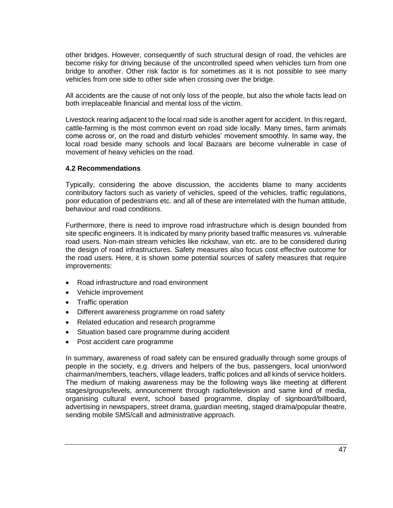other bridges. However, consequently of such structural design of road, the vehicles are become risky for driving because of the uncontrolled speed when vehicles turn from one bridge to another. Other risk factor is for sometimes as it is not possible to see many vehicles from one side to other side when crossing over the bridge.

All accidents are the cause of not only loss of the people, but also the whole facts lead on both irreplaceable financial and mental loss of the victim.

Livestock rearing adjacent to the local road side is another agent for accident. In this regard, cattle-farming is the most common event on road side locally. Many times, farm animals come across or, on the road and disturb vehicles' movement smoothly. In same way, the local road beside many schools and local Bazaars are become vulnerable in case of movement of heavy vehicles on the road.

#### **4.2 Recommendations**

Typically, considering the above discussion, the accidents blame to many accidents contributory factors such as variety of vehicles, speed of the vehicles, traffic regulations, poor education of pedestrians etc. and all of these are interrelated with the human attitude, behaviour and road conditions.

Furthermore, there is need to improve road infrastructure which is design bounded from site specific engineers. It is indicated by many priority based traffic measures vs. vulnerable road users. Non-main stream vehicles like rickshaw, van etc. are to be considered during the design of road infrastructures. Safety measures also focus cost effective outcome for the road users. Here, it is shown some potential sources of safety measures that require improvements:

- Road infrastructure and road environment
- Vehicle improvement
- Traffic operation
- Different awareness programme on road safety
- Related education and research programme
- Situation based care programme during accident
- Post accident care programme

In summary, awareness of road safety can be ensured gradually through some groups of people in the society, e.g. drivers and helpers of the bus, passengers, local union/word chairman/members, teachers, village leaders, traffic polices and all kinds of service holders. The medium of making awareness may be the following ways like meeting at different stages/groups/levels, announcement through radio/television and same kind of media, organising cultural event, school based programme, display of signboard/billboard, advertising in newspapers, street drama, guardian meeting, staged drama/popular theatre, sending mobile SMS/call and administrative approach.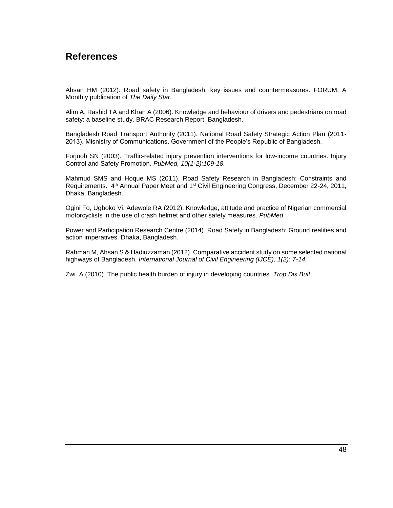# **References**

Ahsan HM (2012). Road safety in Bangladesh: key issues and countermeasures. FORUM, A Monthly publication of *The Daily Star*.

Alim A, Rashid TA and Khan A (2006). Knowledge and behaviour of drivers and pedestrians on road safety: a baseline study. BRAC Research Report. Bangladesh.

Bangladesh Road Transport Authority (2011). National Road Safety Strategic Action Plan (2011- 2013). Misnistry of Communications, Government of the People's Republic of Bangladesh.

Forjuoh SN (2003). Traffic-related injury prevention interventions for low-income countries. Injury Control and Safety Promotion. *PubMed, 10(1-2):109-18.*

Mahmud SMS and Hoque MS (2011). Road Safety Research in Bangladesh: Constraints and Requirements. 4<sup>th</sup> Annual Paper Meet and 1<sup>st</sup> Civil Engineering Congress, December 22-24, 2011, Dhaka, Bangladesh.

Ogini Fo, Ugboko Vi, Adewole RA (2012). Knowledge, attitude and practice of Nigerian commercial motorcyclists in the use of crash helmet and other safety measures. *PubMed*.

Power and Participation Research Centre (2014). Road Safety in Bangladesh: Ground realities and action imperatives. Dhaka, Bangladesh.

Rahman M, Ahsan S & Hadiuzzaman (2012). Comparative accident study on some selected national highways of Bangladesh. *International Journal of Civil Engineering (IJCE), 1(2): 7-14.*

Zwi A (2010). The public health burden of injury in developing countries. *Trop Dis Bull*.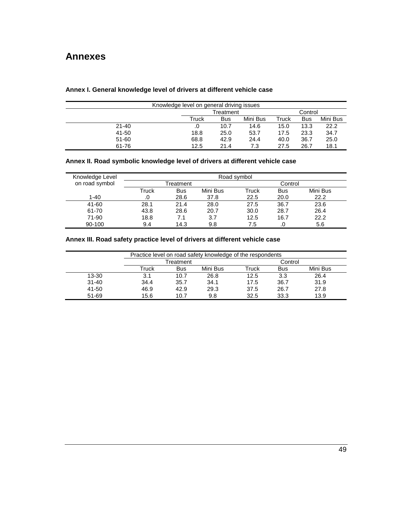# **Annexes**

| Knowledge level on general driving issues |           |      |          |         |            |          |
|-------------------------------------------|-----------|------|----------|---------|------------|----------|
|                                           | Treatment |      |          | Control |            |          |
|                                           | Truck     | Bus  | Mini Bus | Truck   | <b>Bus</b> | Mini Bus |
| $21 - 40$                                 |           | 10.7 | 14.6     | 15.0    | 13.3       | 22.2     |
| $41 - 50$                                 | 18.8      | 25.0 | 53.7     | 17.5    | 23.3       | 34.7     |
| 51-60                                     | 68.8      | 42.9 | 24.4     | 40.0    | 36.7       | 25.0     |
| 61-76                                     | 12.5      | 21.4 | 7.3      | 27.5    | 26.7       | 18.1     |

### **Annex I. General knowledge level of drivers at different vehicle case**

#### **Annex II. Road symbolic knowledge level of drivers at different vehicle case**

| Knowledge Level | Road symbol |            |          |         |            |          |
|-----------------|-------------|------------|----------|---------|------------|----------|
| on road symbol  | Treatment   |            |          | Control |            |          |
|                 | Truck       | <b>Bus</b> | Mini Bus | Truck   | <b>Bus</b> | Mini Bus |
| $1 - 40$        |             | 28.6       | 37.8     | 22.5    | 20.0       | 22.2     |
| 41-60           | 28.1        | 21.4       | 28.0     | 27.5    | 36.7       | 23.6     |
| 61-70           | 43.8        | 28.6       | 20.7     | 30.0    | 28.7       | 26.4     |
| 71-90           | 18.8        | 7.1        | 3.7      | 12.5    | 16.7       | 22.2     |
| 90-100          | 9.4         | 14.3       | 9.8      | 7.5     | .0         | 5.6      |

### **Annex III. Road safety practice level of drivers at different vehicle case**

|           | Practice level on road safety knowledge of the respondents |           |          |       |            |          |  |
|-----------|------------------------------------------------------------|-----------|----------|-------|------------|----------|--|
|           |                                                            | Treatment |          |       | Control    |          |  |
|           | Truck                                                      | Bus       | Mini Bus | Truck | <b>Bus</b> | Mini Bus |  |
| 13-30     | 3.1                                                        | 10.7      | 26.8     | 12.5  | 3.3        | 26.4     |  |
| $31 - 40$ | 34.4                                                       | 35.7      | 34.1     | 17.5  | 36.7       | 31.9     |  |
| 41-50     | 46.9                                                       | 42.9      | 29.3     | 37.5  | 26.7       | 27.8     |  |
| 51-69     | 15.6                                                       | 10.7      | 9.8      | 32.5  | 33.3       | 13.9     |  |